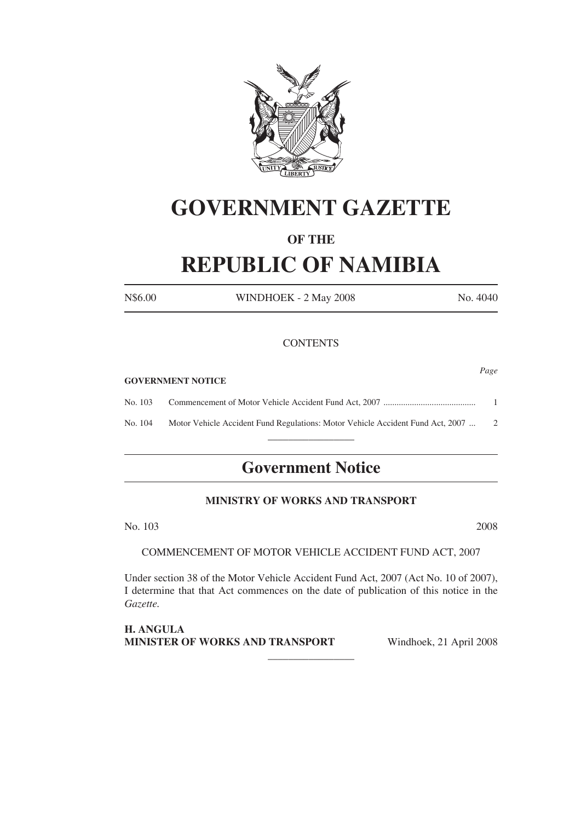

# **GOVERNMENT GAZETTE**

# **OF THE**

# **REPUBLIC OF NAMIBIA**

N\$6.00 WINDHOEK - 2 May 2008 No. 4040

*Page*

## **CONTENTS**

#### **GOVERNMENT NOTICE**

No. 103 Commencement of Motor Vehicle Accident Fund Act, 2007 .......................................... 1 No. 104 Motor Vehicle Accident Fund Regulations: Motor Vehicle Accident Fund Act, 2007 ... 2

 $\overline{\phantom{a}}$  , where the contract of the contract of  $\overline{\phantom{a}}$ 

# **Government Notice**

# **MINISTRY OF WORKS AND TRANSPORT**

No. 103 2008

COMMENCEMENT OF MOTOR VEHICLE ACCIDENT FUND ACT, 2007

Under section 38 of the Motor Vehicle Accident Fund Act, 2007 (Act No. 10 of 2007), I determine that that Act commences on the date of publication of this notice in the *Gazette.*

 $\overline{\phantom{a}}$  , where the contract of the contract of  $\overline{\phantom{a}}$ 

**H. Angula Minister of Works and Transport**  Windhoek, 21 April 2008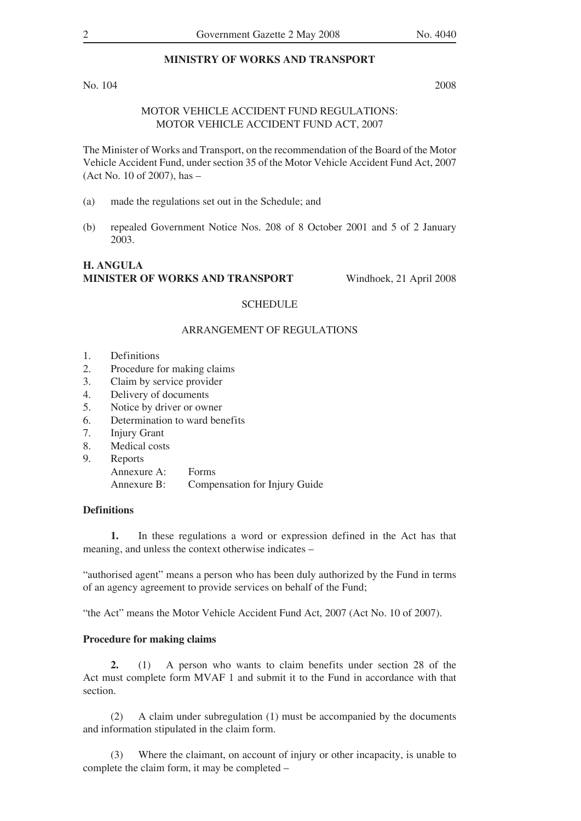# **MINISTRY OF WORKS AND TRANSPORT**

No. 104 2008

### MOTOR VEHICLE ACCIDENT FUND REGULATIONS: MOTOR VEHICLE ACCIDENT FUND ACT, 2007

The Minister of Works and Transport, on the recommendation of the Board of the Motor Vehicle Accident Fund, under section 35 of the Motor Vehicle Accident Fund Act, 2007 (Act No. 10 of 2007), has –

- (a) made the regulations set out in the Schedule; and
- (b) repealed Government Notice Nos. 208 of 8 October 2001 and 5 of 2 January 2003.

#### **H. Angula Minister of Works and Transport** Windhoek, 21 April 2008

#### **SCHEDULE**

#### ARRANGEMENT OF REGULATIONS

- 1. Definitions
- 2. Procedure for making claims
- 3. Claim by service provider
- 4. Delivery of documents
- 5. Notice by driver or owner
- 6. Determination to ward benefits
- 7. Injury Grant
- 8. Medical costs
- 9. Reports

 Annexure A: Forms Annexure B: Compensation for Injury Guide

# **Definitions**

**1.** In these regulations a word or expression defined in the Act has that meaning, and unless the context otherwise indicates –

"authorised agent" means a person who has been duly authorized by the Fund in terms of an agency agreement to provide services on behalf of the Fund;

"the Act" means the Motor Vehicle Accident Fund Act, 2007 (Act No. 10 of 2007).

#### **Procedure for making claims**

**2.** (1) A person who wants to claim benefits under section 28 of the Act must complete form MVAF 1 and submit it to the Fund in accordance with that section.

 (2) A claim under subregulation (1) must be accompanied by the documents and information stipulated in the claim form.

(3) Where the claimant, on account of injury or other incapacity, is unable to complete the claim form, it may be completed –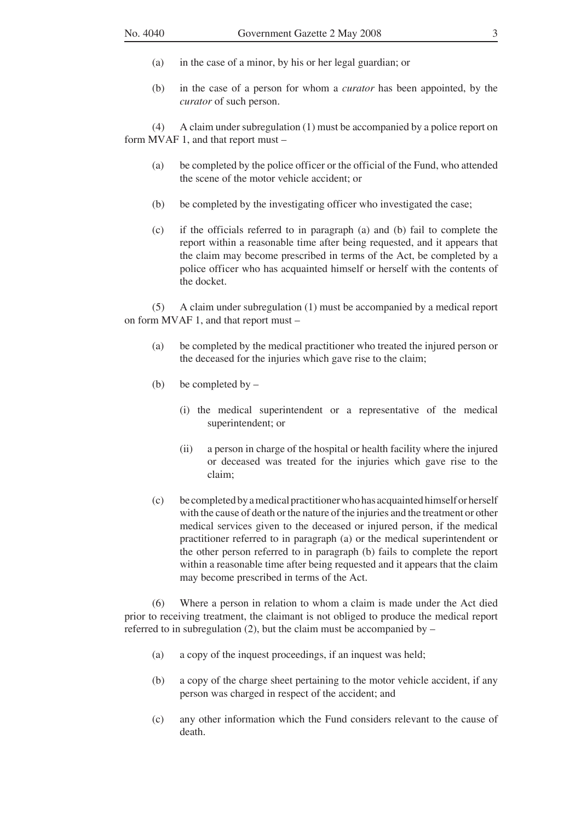- (a) in the case of a minor, by his or her legal guardian; or
- (b) in the case of a person for whom a *curator* has been appointed, by the *curator* of such person.

 (4) A claim under subregulation (1) must be accompanied by a police report on form MVAF 1, and that report must –

- (a) be completed by the police officer or the official of the Fund, who attended the scene of the motor vehicle accident; or
- (b) be completed by the investigating officer who investigated the case;
- (c) if the officials referred to in paragraph (a) and (b) fail to complete the report within a reasonable time after being requested, and it appears that the claim may become prescribed in terms of the Act, be completed by a police officer who has acquainted himself or herself with the contents of the docket.

 (5) A claim under subregulation (1) must be accompanied by a medical report on form MVAF 1, and that report must –

- (a) be completed by the medical practitioner who treated the injured person or the deceased for the injuries which gave rise to the claim;
- (b) be completed by  $-$ 
	- (i) the medical superintendent or a representative of the medical superintendent; or
	- (ii) a person in charge of the hospital or health facility where the injured or deceased was treated for the injuries which gave rise to the claim;
- (c) be completedbyamedicalpractitionerwho has acquaintedhimselforherself with the cause of death or the nature of the injuries and the treatment or other medical services given to the deceased or injured person, if the medical practitioner referred to in paragraph (a) or the medical superintendent or the other person referred to in paragraph (b) fails to complete the report within a reasonable time after being requested and it appears that the claim may become prescribed in terms of the Act.

 (6) Where a person in relation to whom a claim is made under the Act died prior to receiving treatment, the claimant is not obliged to produce the medical report referred to in subregulation  $(2)$ , but the claim must be accompanied by  $-$ 

- (a) a copy of the inquest proceedings, if an inquest was held;
- (b) a copy of the charge sheet pertaining to the motor vehicle accident, if any person was charged in respect of the accident; and
- (c) any other information which the Fund considers relevant to the cause of death.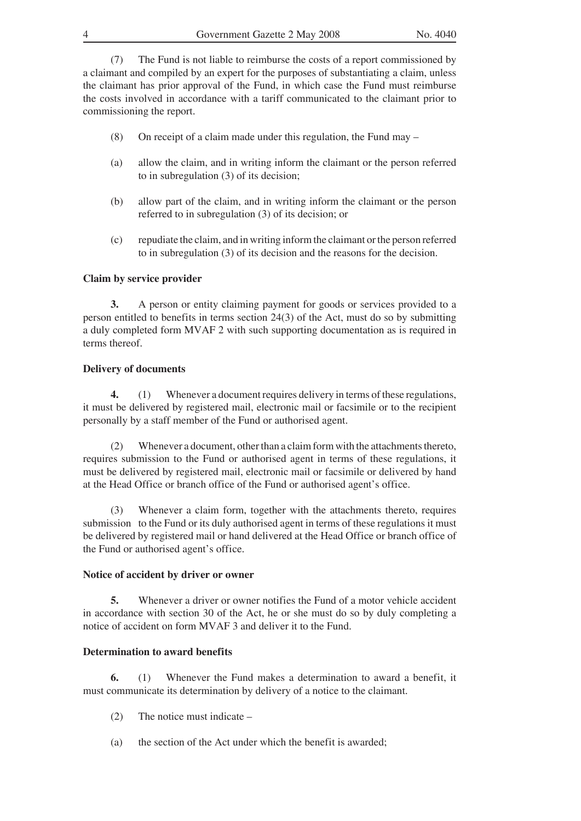(7) The Fund is not liable to reimburse the costs of a report commissioned by a claimant and compiled by an expert for the purposes of substantiating a claim, unless the claimant has prior approval of the Fund, in which case the Fund must reimburse the costs involved in accordance with a tariff communicated to the claimant prior to commissioning the report.

- (8) On receipt of a claim made under this regulation, the Fund may  $-$
- (a) allow the claim, and in writing inform the claimant or the person referred to in subregulation (3) of its decision;
- (b) allow part of the claim, and in writing inform the claimant or the person referred to in subregulation (3) of its decision; or
- (c) repudiate the claim, and in writing informthe claimant orthe person referred to in subregulation (3) of its decision and the reasons for the decision.

#### **Claim by service provider**

**3.** A person or entity claiming payment for goods or services provided to a person entitled to benefits in terms section 24(3) of the Act, must do so by submitting a duly completed form MVAF 2 with such supporting documentation as is required in terms thereof.

#### **Delivery of documents**

**4.** (1) Whenever a document requires delivery in terms of these regulations, it must be delivered by registered mail, electronic mail or facsimile or to the recipient personally by a staff member of the Fund or authorised agent.

(2) Whenever a document, other than a claim form with the attachments thereto, requires submission to the Fund or authorised agent in terms of these regulations, it must be delivered by registered mail, electronic mail or facsimile or delivered by hand at the Head Office or branch office of the Fund or authorised agent's office.

 (3) Whenever a claim form, together with the attachments thereto, requires submission to the Fund or its duly authorised agent in terms of these regulations it must be delivered by registered mail or hand delivered at the Head Office or branch office of the Fund or authorised agent's office.

#### **Notice of accident by driver or owner**

**5.** Whenever a driver or owner notifies the Fund of a motor vehicle accident in accordance with section 30 of the Act, he or she must do so by duly completing a notice of accident on form MVAF 3 and deliver it to the Fund.

#### **Determination to award benefits**

**6.** (1) Whenever the Fund makes a determination to award a benefit, it must communicate its determination by delivery of a notice to the claimant.

- $(2)$  The notice must indicate –
- (a) the section of the Act under which the benefit is awarded;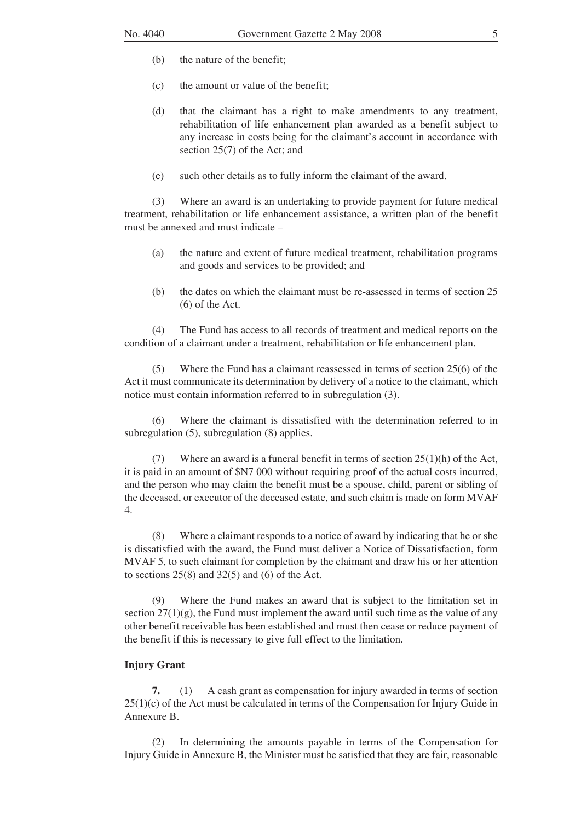- (b) the nature of the benefit;
- (c) the amount or value of the benefit;
- (d) that the claimant has a right to make amendments to any treatment, rehabilitation of life enhancement plan awarded as a benefit subject to any increase in costs being for the claimant's account in accordance with section 25(7) of the Act; and
- (e) such other details as to fully inform the claimant of the award.

 (3) Where an award is an undertaking to provide payment for future medical treatment, rehabilitation or life enhancement assistance, a written plan of the benefit must be annexed and must indicate –

- (a) the nature and extent of future medical treatment, rehabilitation programs and goods and services to be provided; and
- (b) the dates on which the claimant must be re-assessed in terms of section 25 (6) of the Act.

 (4) The Fund has access to all records of treatment and medical reports on the condition of a claimant under a treatment, rehabilitation or life enhancement plan.

Where the Fund has a claimant reassessed in terms of section  $25(6)$  of the Act it must communicate its determination by delivery of a notice to the claimant, which notice must contain information referred to in subregulation (3).

 (6) Where the claimant is dissatisfied with the determination referred to in subregulation (5), subregulation (8) applies.

(7) Where an award is a funeral benefit in terms of section  $25(1)(h)$  of the Act, it is paid in an amount of \$N7 000 without requiring proof of the actual costs incurred, and the person who may claim the benefit must be a spouse, child, parent or sibling of the deceased, or executor of the deceased estate, and such claim is made on form MVAF 4.

 (8) Where a claimant responds to a notice of award by indicating that he or she is dissatisfied with the award, the Fund must deliver a Notice of Dissatisfaction, form MVAF 5, to such claimant for completion by the claimant and draw his or her attention to sections  $25(8)$  and  $32(5)$  and  $(6)$  of the Act.

 (9) Where the Fund makes an award that is subject to the limitation set in section  $27(1)(g)$ , the Fund must implement the award until such time as the value of any other benefit receivable has been established and must then cease or reduce payment of the benefit if this is necessary to give full effect to the limitation.

## **Injury Grant**

**7.** (1) A cash grant as compensation for injury awarded in terms of section 25(1)(c) of the Act must be calculated in terms of the Compensation for Injury Guide in Annexure B.

 (2) In determining the amounts payable in terms of the Compensation for Injury Guide in Annexure B, the Minister must be satisfied that they are fair, reasonable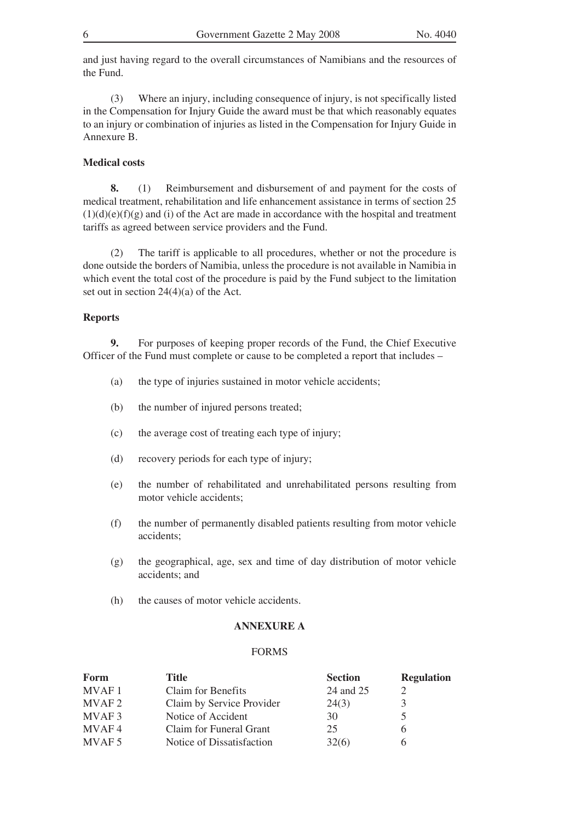and just having regard to the overall circumstances of Namibians and the resources of the Fund.

 (3) Where an injury, including consequence of injury, is not specifically listed in the Compensation for Injury Guide the award must be that which reasonably equates to an injury or combination of injuries as listed in the Compensation for Injury Guide in Annexure B.

#### **Medical costs**

**8.** (1) Reimbursement and disbursement of and payment for the costs of medical treatment, rehabilitation and life enhancement assistance in terms of section 25  $(1)(d)(e)(f)(g)$  and (i) of the Act are made in accordance with the hospital and treatment tariffs as agreed between service providers and the Fund.

 (2) The tariff is applicable to all procedures, whether or not the procedure is done outside the borders of Namibia, unless the procedure is not available in Namibia in which event the total cost of the procedure is paid by the Fund subject to the limitation set out in section 24(4)(a) of the Act.

#### **Reports**

**9.** For purposes of keeping proper records of the Fund, the Chief Executive Officer of the Fund must complete or cause to be completed a report that includes –

- (a) the type of injuries sustained in motor vehicle accidents;
- (b) the number of injured persons treated;
- (c) the average cost of treating each type of injury;
- (d) recovery periods for each type of injury;
- (e) the number of rehabilitated and unrehabilitated persons resulting from motor vehicle accidents;
- (f) the number of permanently disabled patients resulting from motor vehicle accidents;
- (g) the geographical, age, sex and time of day distribution of motor vehicle accidents; and
- (h) the causes of motor vehicle accidents.

#### **ANNEXURE A**

#### FORMS

| Form              | Title                     | <b>Section</b> | <b>Regulation</b> |
|-------------------|---------------------------|----------------|-------------------|
| <b>MVAF1</b>      | Claim for Benefits        | 24 and 25      |                   |
| MVAF <sub>2</sub> | Claim by Service Provider | 24(3)          |                   |
| MVAF3             | Notice of Accident        | 30             |                   |
| MVAF4             | Claim for Funeral Grant   | 25             |                   |
| MVAF <sub>5</sub> | Notice of Dissatisfaction | 32(6)          |                   |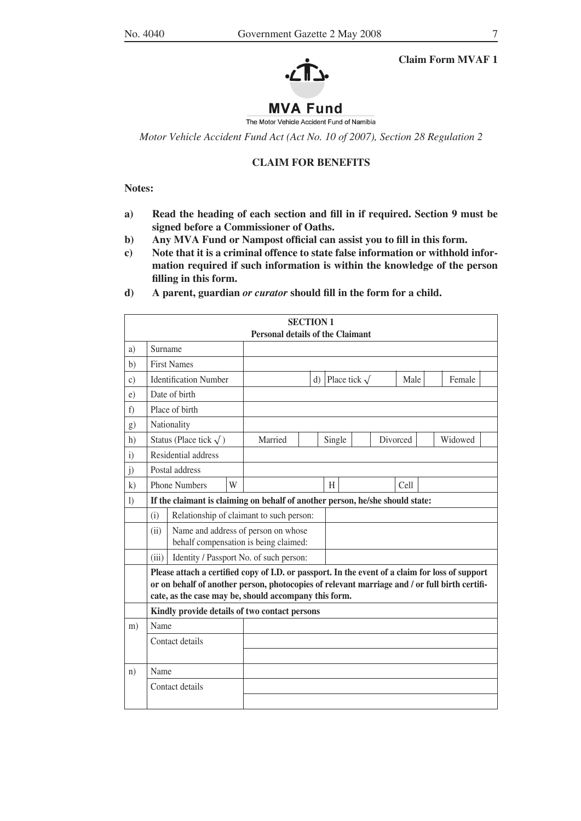



# **MVA Fund**

The Motor Vehicle Accident Fund of Namibia

*Motor Vehicle Accident Fund Act (Act No. 10 of 2007), Section 28 Regulation 2*

#### **CLAIM FOR BENEFITS**

**Notes:**

- **a) Read the heading of each section and fill in if required. Section 9 must be signed before a Commissioner of Oaths.**
- **b) Any MVA Fund or Nampost official can assist you to fill in this form.**
- **c) Note that it is a criminal offence to state false information or withhold information required if such information is within the knowledge of the person filling in this form.**
- **d) A parent, guardian** *or curator* **should fill in the form for a child.**

|               |                                                                                                                                                                                                                                                                                                            |                                                                               |   |                                                                              | <b>SECTION 1</b> |        |                    |  |          |         |  |
|---------------|------------------------------------------------------------------------------------------------------------------------------------------------------------------------------------------------------------------------------------------------------------------------------------------------------------|-------------------------------------------------------------------------------|---|------------------------------------------------------------------------------|------------------|--------|--------------------|--|----------|---------|--|
|               |                                                                                                                                                                                                                                                                                                            |                                                                               |   | <b>Personal details of the Claimant</b>                                      |                  |        |                    |  |          |         |  |
| a)            | Surname                                                                                                                                                                                                                                                                                                    |                                                                               |   |                                                                              |                  |        |                    |  |          |         |  |
| b)            |                                                                                                                                                                                                                                                                                                            | <b>First Names</b>                                                            |   |                                                                              |                  |        |                    |  |          |         |  |
| $\mathbf{c})$ |                                                                                                                                                                                                                                                                                                            | <b>Identification Number</b>                                                  |   |                                                                              | $\mathbf{d}$     |        | Place tick $\sqrt$ |  | Male     | Female  |  |
| e)            |                                                                                                                                                                                                                                                                                                            | Date of birth                                                                 |   |                                                                              |                  |        |                    |  |          |         |  |
| f)            |                                                                                                                                                                                                                                                                                                            | Place of birth                                                                |   |                                                                              |                  |        |                    |  |          |         |  |
| g)            |                                                                                                                                                                                                                                                                                                            | Nationality                                                                   |   |                                                                              |                  |        |                    |  |          |         |  |
| h)            |                                                                                                                                                                                                                                                                                                            | Status (Place tick $\sqrt{}$ )                                                |   | Married                                                                      |                  | Single |                    |  | Divorced | Widowed |  |
| $\mathbf{i}$  |                                                                                                                                                                                                                                                                                                            | Residential address                                                           |   |                                                                              |                  |        |                    |  |          |         |  |
| j)            |                                                                                                                                                                                                                                                                                                            | Postal address                                                                |   |                                                                              |                  |        |                    |  |          |         |  |
| k)            |                                                                                                                                                                                                                                                                                                            | <b>Phone Numbers</b>                                                          | W |                                                                              |                  | H      |                    |  | Cell     |         |  |
| 1)            |                                                                                                                                                                                                                                                                                                            | If the claimant is claiming on behalf of another person, he/she should state: |   |                                                                              |                  |        |                    |  |          |         |  |
|               | (i)                                                                                                                                                                                                                                                                                                        |                                                                               |   | Relationship of claimant to such person:                                     |                  |        |                    |  |          |         |  |
|               | (ii)                                                                                                                                                                                                                                                                                                       |                                                                               |   | Name and address of person on whose<br>behalf compensation is being claimed: |                  |        |                    |  |          |         |  |
|               | (iii)                                                                                                                                                                                                                                                                                                      |                                                                               |   | Identity / Passport No. of such person:                                      |                  |        |                    |  |          |         |  |
|               | Please attach a certified copy of I.D. or passport. In the event of a claim for loss of support<br>or on behalf of another person, photocopies of relevant marriage and / or full birth certifi-<br>cate, as the case may be, should accompany this form.<br>Kindly provide details of two contact persons |                                                                               |   |                                                                              |                  |        |                    |  |          |         |  |
| m)            | Name                                                                                                                                                                                                                                                                                                       |                                                                               |   |                                                                              |                  |        |                    |  |          |         |  |
|               |                                                                                                                                                                                                                                                                                                            | Contact details                                                               |   |                                                                              |                  |        |                    |  |          |         |  |
|               |                                                                                                                                                                                                                                                                                                            |                                                                               |   |                                                                              |                  |        |                    |  |          |         |  |
| n)            | Name                                                                                                                                                                                                                                                                                                       |                                                                               |   |                                                                              |                  |        |                    |  |          |         |  |
|               |                                                                                                                                                                                                                                                                                                            | Contact details                                                               |   |                                                                              |                  |        |                    |  |          |         |  |
|               |                                                                                                                                                                                                                                                                                                            |                                                                               |   |                                                                              |                  |        |                    |  |          |         |  |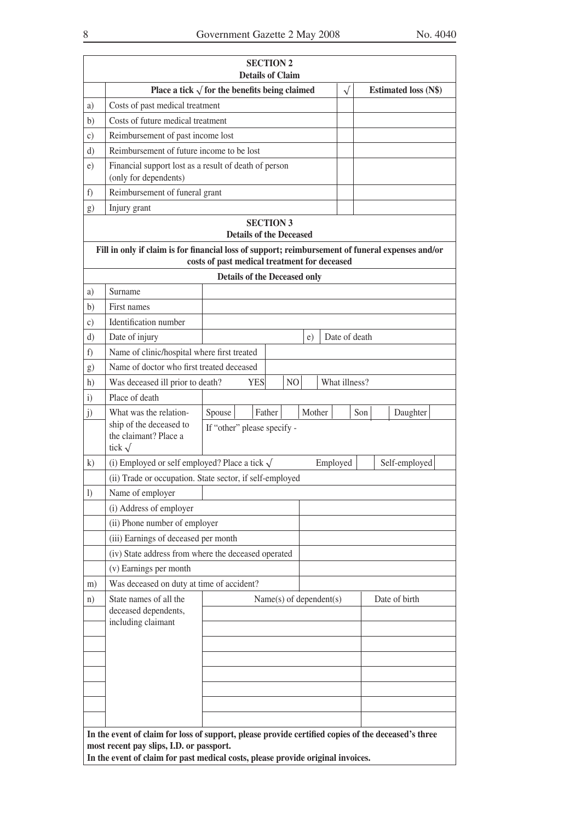|                  |                                                                                                  |                                              | <b>Details of Claim</b> |  |                |        |                         |     |                             |
|------------------|--------------------------------------------------------------------------------------------------|----------------------------------------------|-------------------------|--|----------------|--------|-------------------------|-----|-----------------------------|
|                  | Place a tick $\sqrt{\ }$ for the benefits being claimed                                          |                                              |                         |  |                |        | $\sqrt{}$               |     | <b>Estimated loss (N\$)</b> |
| a)               | Costs of past medical treatment                                                                  |                                              |                         |  |                |        |                         |     |                             |
| b)               | Costs of future medical treatment                                                                |                                              |                         |  |                |        |                         |     |                             |
| $\mathbf{c})$    | Reimbursement of past income lost                                                                |                                              |                         |  |                |        |                         |     |                             |
| $\rm d$          | Reimbursement of future income to be lost                                                        |                                              |                         |  |                |        |                         |     |                             |
| e)               | Financial support lost as a result of death of person<br>(only for dependents)                   |                                              |                         |  |                |        |                         |     |                             |
| f)               | Reimbursement of funeral grant                                                                   |                                              |                         |  |                |        |                         |     |                             |
| g)               | Injury grant                                                                                     |                                              |                         |  |                |        |                         |     |                             |
|                  |                                                                                                  |                                              | <b>SECTION 3</b>        |  |                |        |                         |     |                             |
|                  |                                                                                                  | <b>Details of the Deceased</b>               |                         |  |                |        |                         |     |                             |
|                  | Fill in only if claim is for financial loss of support; reimbursement of funeral expenses and/or | costs of past medical treatment for deceased |                         |  |                |        |                         |     |                             |
|                  |                                                                                                  | <b>Details of the Deceased only</b>          |                         |  |                |        |                         |     |                             |
| a)               | Surname                                                                                          |                                              |                         |  |                |        |                         |     |                             |
| b)               | First names                                                                                      |                                              |                         |  |                |        |                         |     |                             |
| c)               | Identification number                                                                            |                                              |                         |  |                |        |                         |     |                             |
| $\rm d$          | Date of injury                                                                                   |                                              |                         |  |                | e)     | Date of death           |     |                             |
| f)               | Name of clinic/hospital where first treated                                                      |                                              |                         |  |                |        |                         |     |                             |
| g)               | Name of doctor who first treated deceased                                                        |                                              |                         |  |                |        |                         |     |                             |
| h)               | Was deceased ill prior to death?                                                                 |                                              | <b>YES</b>              |  | N <sub>O</sub> |        | What illness?           |     |                             |
| i)               | Place of death                                                                                   |                                              |                         |  |                |        |                         |     |                             |
| j)               | What was the relation-                                                                           | Spouse                                       | Father                  |  |                | Mother |                         | Son | Daughter                    |
|                  | ship of the deceased to<br>the claimant? Place a<br>tick $\sqrt$                                 | If "other" please specify -                  |                         |  |                |        |                         |     |                             |
| k)               | (i) Employed or self employed? Place a tick $\sqrt{ }$                                           |                                              |                         |  |                |        | Employed                |     | Self-employed               |
|                  | (ii) Trade or occupation. State sector, if self-employed                                         |                                              |                         |  |                |        |                         |     |                             |
| $\left( \right)$ | Name of employer                                                                                 |                                              |                         |  |                |        |                         |     |                             |
|                  | (i) Address of employer                                                                          |                                              |                         |  |                |        |                         |     |                             |
|                  | (ii) Phone number of employer                                                                    |                                              |                         |  |                |        |                         |     |                             |
|                  | (iii) Earnings of deceased per month                                                             |                                              |                         |  |                |        |                         |     |                             |
|                  | (iv) State address from where the deceased operated                                              |                                              |                         |  |                |        |                         |     |                             |
|                  | (v) Earnings per month                                                                           |                                              |                         |  |                |        |                         |     |                             |
| m)               | Was deceased on duty at time of accident?                                                        |                                              |                         |  |                |        |                         |     |                             |
| n)               | State names of all the                                                                           |                                              |                         |  |                |        | Name(s) of dependent(s) |     | Date of birth               |
|                  | deceased dependents,<br>including claimant                                                       |                                              |                         |  |                |        |                         |     |                             |
|                  |                                                                                                  |                                              |                         |  |                |        |                         |     |                             |
|                  |                                                                                                  |                                              |                         |  |                |        |                         |     |                             |
|                  |                                                                                                  |                                              |                         |  |                |        |                         |     |                             |
|                  |                                                                                                  |                                              |                         |  |                |        |                         |     |                             |
|                  |                                                                                                  |                                              |                         |  |                |        |                         |     |                             |
|                  |                                                                                                  |                                              |                         |  |                |        |                         |     |                             |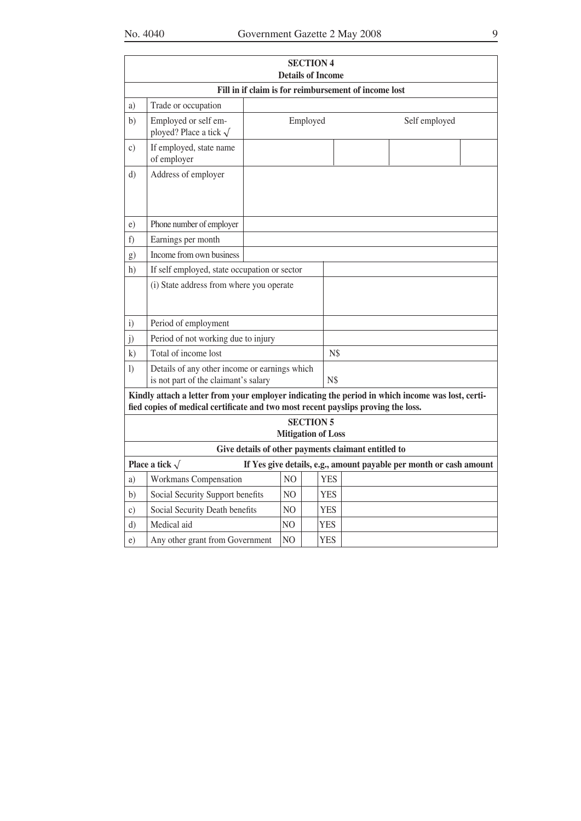|                 | No. 4040                                                                          |                           |          |                                              | Government Gazette 2 May 2008<br>9                                                               |
|-----------------|-----------------------------------------------------------------------------------|---------------------------|----------|----------------------------------------------|--------------------------------------------------------------------------------------------------|
|                 |                                                                                   |                           |          | <b>SECTION 4</b><br><b>Details of Income</b> |                                                                                                  |
|                 |                                                                                   |                           |          |                                              | Fill in if claim is for reimbursement of income lost                                             |
| a)              | Trade or occupation                                                               |                           |          |                                              |                                                                                                  |
| b)              | Employed or self em-<br>ployed? Place a tick $\sqrt$                              |                           | Employed |                                              | Self employed                                                                                    |
| $\mathcal{C}$ ) | If employed, state name<br>of employer                                            |                           |          |                                              |                                                                                                  |
| $\mathbf{d}$    | Address of employer                                                               |                           |          |                                              |                                                                                                  |
| e)              | Phone number of employer                                                          |                           |          |                                              |                                                                                                  |
| f)              | Earnings per month                                                                |                           |          |                                              |                                                                                                  |
| g)              | Income from own business                                                          |                           |          |                                              |                                                                                                  |
| h)              | If self employed, state occupation or sector                                      |                           |          |                                              |                                                                                                  |
|                 | (i) State address from where you operate                                          |                           |          |                                              |                                                                                                  |
| $\mathbf{i}$    | Period of employment                                                              |                           |          |                                              |                                                                                                  |
| j)              | Period of not working due to injury                                               |                           |          |                                              |                                                                                                  |
| k)              | Total of income lost                                                              |                           |          | N\$                                          |                                                                                                  |
| 1)              | Details of any other income or earnings which                                     |                           |          |                                              |                                                                                                  |
|                 | is not part of the claimant's salary                                              |                           |          | N\$                                          |                                                                                                  |
|                 | fied copies of medical certificate and two most recent payslips proving the loss. |                           |          |                                              | Kindly attach a letter from your employer indicating the period in which income was lost, certi- |
|                 |                                                                                   | <b>Mitigation of Loss</b> |          | <b>SECTION 5</b>                             |                                                                                                  |
|                 |                                                                                   |                           |          |                                              | Give details of other payments claimant entitled to                                              |
|                 | Place a tick $\sqrt$                                                              |                           |          |                                              | If Yes give details, e.g., amount payable per month or cash amount                               |
| a)              | Workmans Compensation                                                             | N <sub>O</sub>            |          | <b>YES</b>                                   |                                                                                                  |
| b)              | Social Security Support benefits                                                  | NO.                       |          | <b>YES</b>                                   |                                                                                                  |
| $\mathcal{C}$ ) | Social Security Death benefits                                                    | N <sub>O</sub>            |          | YES                                          |                                                                                                  |
| $d$ )           | Medical aid                                                                       | N <sub>O</sub>            |          | <b>YES</b>                                   |                                                                                                  |

e) Any other grant from Government NO YES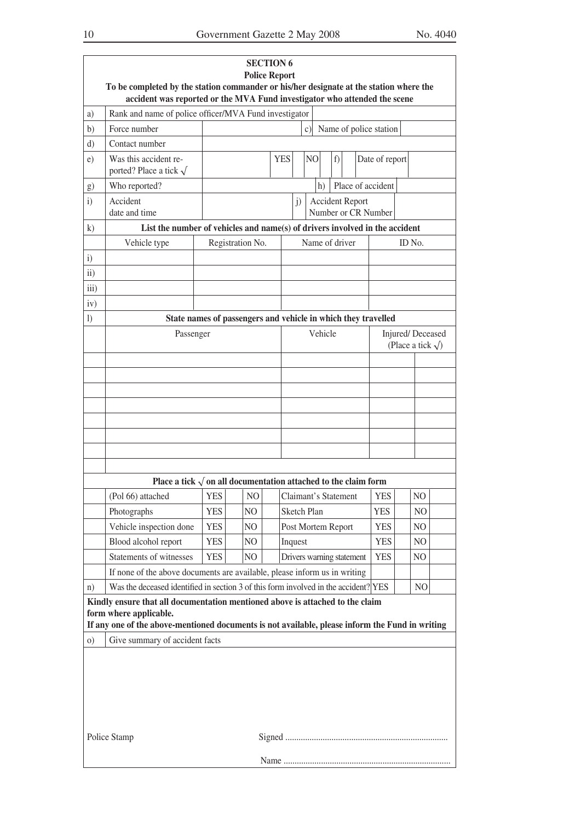|                   | To be completed by the station commander or his/her designate at the station where the<br>accident was reported or the MVA Fund investigator who attended the scene                                        |            |                                                      | <b>Police Report</b> | <b>SECTION 6</b> |             |  |    |                    |  |                           |  |                        |                                                |  |
|-------------------|------------------------------------------------------------------------------------------------------------------------------------------------------------------------------------------------------------|------------|------------------------------------------------------|----------------------|------------------|-------------|--|----|--------------------|--|---------------------------|--|------------------------|------------------------------------------------|--|
| a)                | Rank and name of police officer/MVA Fund investigator                                                                                                                                                      |            |                                                      |                      |                  |             |  |    |                    |  |                           |  |                        |                                                |  |
| b)                | Force number                                                                                                                                                                                               |            |                                                      |                      |                  |             |  | c) |                    |  |                           |  | Name of police station |                                                |  |
| d)                | Contact number                                                                                                                                                                                             |            |                                                      |                      |                  |             |  |    |                    |  |                           |  |                        |                                                |  |
| e)                | Was this accident re-<br>ported? Place a tick $\sqrt$                                                                                                                                                      |            | <b>YES</b><br>f)<br>N <sub>O</sub><br>Date of report |                      |                  |             |  |    |                    |  |                           |  |                        |                                                |  |
| $\bf g)$          | Who reported?                                                                                                                                                                                              |            | Place of accident<br>h)                              |                      |                  |             |  |    |                    |  |                           |  |                        |                                                |  |
| $\mathbf{i}$      | Accident<br>date and time                                                                                                                                                                                  |            | <b>Accident Report</b><br>j)<br>Number or CR Number  |                      |                  |             |  |    |                    |  |                           |  |                        |                                                |  |
| $\bf k)$          | List the number of vehicles and name(s) of drivers involved in the accident                                                                                                                                |            |                                                      |                      |                  |             |  |    |                    |  |                           |  |                        |                                                |  |
|                   | Vehicle type                                                                                                                                                                                               |            |                                                      | Registration No.     |                  |             |  |    |                    |  | Name of driver            |  |                        | ID No.                                         |  |
| $\mathbf{i}$      |                                                                                                                                                                                                            |            |                                                      |                      |                  |             |  |    |                    |  |                           |  |                        |                                                |  |
| $\overline{11}$ ) |                                                                                                                                                                                                            |            |                                                      |                      |                  |             |  |    |                    |  |                           |  |                        |                                                |  |
| iii)              |                                                                                                                                                                                                            |            |                                                      |                      |                  |             |  |    |                    |  |                           |  |                        |                                                |  |
| iv)               |                                                                                                                                                                                                            |            |                                                      |                      |                  |             |  |    |                    |  |                           |  |                        |                                                |  |
| $\left( \right)$  | State names of passengers and vehicle in which they travelled                                                                                                                                              |            |                                                      |                      |                  |             |  |    |                    |  |                           |  |                        |                                                |  |
|                   | Passenger                                                                                                                                                                                                  |            |                                                      |                      |                  |             |  |    | Vehicle            |  |                           |  |                        | Injured/Deceased<br>(Place a tick $\sqrt{ }$ ) |  |
|                   |                                                                                                                                                                                                            |            |                                                      |                      |                  |             |  |    |                    |  |                           |  |                        |                                                |  |
|                   |                                                                                                                                                                                                            |            |                                                      |                      |                  |             |  |    |                    |  |                           |  |                        |                                                |  |
|                   |                                                                                                                                                                                                            |            |                                                      |                      |                  |             |  |    |                    |  |                           |  |                        |                                                |  |
|                   |                                                                                                                                                                                                            |            |                                                      |                      |                  |             |  |    |                    |  |                           |  |                        |                                                |  |
|                   |                                                                                                                                                                                                            |            |                                                      |                      |                  |             |  |    |                    |  |                           |  |                        |                                                |  |
|                   |                                                                                                                                                                                                            |            |                                                      |                      |                  |             |  |    |                    |  |                           |  |                        |                                                |  |
|                   |                                                                                                                                                                                                            |            |                                                      |                      |                  |             |  |    |                    |  |                           |  |                        |                                                |  |
|                   | Place a tick $\sqrt{ }$ on all documentation attached to the claim form                                                                                                                                    |            |                                                      |                      |                  |             |  |    |                    |  |                           |  |                        |                                                |  |
|                   | (Pol 66) attached                                                                                                                                                                                          | <b>YES</b> |                                                      | N <sub>O</sub>       |                  |             |  |    |                    |  | Claimant's Statement      |  | <b>YES</b>             | NO                                             |  |
|                   | Photographs                                                                                                                                                                                                | <b>YES</b> |                                                      | NO                   |                  | Sketch Plan |  |    |                    |  |                           |  | <b>YES</b>             | N <sub>O</sub>                                 |  |
|                   | Vehicle inspection done                                                                                                                                                                                    | <b>YES</b> |                                                      | NO                   |                  |             |  |    | Post Mortem Report |  |                           |  | <b>YES</b>             | NO                                             |  |
|                   | Blood alcohol report                                                                                                                                                                                       | <b>YES</b> |                                                      | NO                   |                  | Inquest     |  |    |                    |  |                           |  | <b>YES</b>             | N <sub>O</sub>                                 |  |
|                   | Statements of witnesses                                                                                                                                                                                    | <b>YES</b> |                                                      | NO                   |                  |             |  |    |                    |  | Drivers warning statement |  | <b>YES</b>             | N <sub>O</sub>                                 |  |
|                   | If none of the above documents are available, please inform us in writing                                                                                                                                  |            |                                                      |                      |                  |             |  |    |                    |  |                           |  |                        |                                                |  |
| n)                | Was the deceased identified in section 3 of this form involved in the accident? YES                                                                                                                        |            |                                                      |                      |                  |             |  |    |                    |  |                           |  |                        | N <sub>O</sub>                                 |  |
|                   | Kindly ensure that all documentation mentioned above is attached to the claim<br>form where applicable.<br>If any one of the above-mentioned documents is not available, please inform the Fund in writing |            |                                                      |                      |                  |             |  |    |                    |  |                           |  |                        |                                                |  |
| $\circ$ )         | Give summary of accident facts                                                                                                                                                                             |            |                                                      |                      |                  |             |  |    |                    |  |                           |  |                        |                                                |  |
|                   | Police Stamp                                                                                                                                                                                               |            |                                                      |                      |                  |             |  |    |                    |  |                           |  |                        |                                                |  |
|                   |                                                                                                                                                                                                            |            |                                                      |                      |                  |             |  |    |                    |  |                           |  |                        |                                                |  |
|                   |                                                                                                                                                                                                            |            |                                                      |                      |                  |             |  |    |                    |  |                           |  |                        |                                                |  |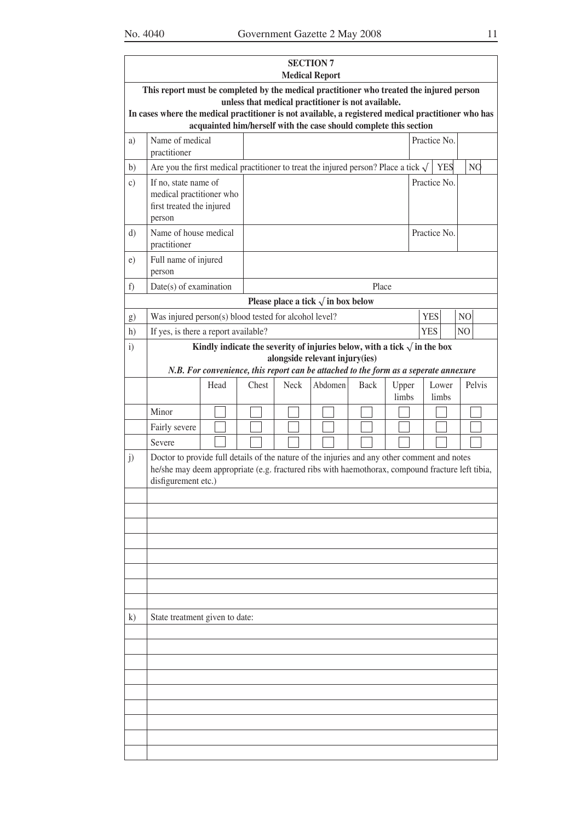|               |                                                                                                                                                                                                                         |      |       |             | <b>SECTION 7</b><br><b>Medical Report</b>                                                                               |             |                |              |                |                |                |
|---------------|-------------------------------------------------------------------------------------------------------------------------------------------------------------------------------------------------------------------------|------|-------|-------------|-------------------------------------------------------------------------------------------------------------------------|-------------|----------------|--------------|----------------|----------------|----------------|
|               | This report must be completed by the medical practitioner who treated the injured person<br>In cases where the medical practitioner is not available, a registered medical practitioner who has                         |      |       |             | unless that medical practitioner is not available.<br>acquainted him/herself with the case should complete this section |             |                |              |                |                |                |
| a)            | Name of medical<br>practitioner                                                                                                                                                                                         |      |       |             |                                                                                                                         |             |                | Practice No. |                |                |                |
| b)            | Are you the first medical practitioner to treat the injured person? Place a tick $\sqrt$                                                                                                                                |      |       |             |                                                                                                                         |             |                |              | <b>YES</b>     |                | N <sub>Q</sub> |
| $\mathbf{c})$ | Practice No.<br>If no, state name of<br>medical practitioner who<br>first treated the injured<br>person                                                                                                                 |      |       |             |                                                                                                                         |             |                |              |                |                |                |
| d)            | Name of house medical<br>practitioner                                                                                                                                                                                   |      |       |             |                                                                                                                         |             |                | Practice No. |                |                |                |
| e)            | Full name of injured<br>person                                                                                                                                                                                          |      |       |             |                                                                                                                         |             |                |              |                |                |                |
| f)            | $Date(s)$ of examination                                                                                                                                                                                                |      |       |             |                                                                                                                         | Place       |                |              |                |                |                |
|               |                                                                                                                                                                                                                         |      |       |             | Please place a tick $\sqrt{ }$ in box below                                                                             |             |                |              |                |                |                |
| g)            | Was injured person(s) blood tested for alcohol level?                                                                                                                                                                   |      |       |             |                                                                                                                         |             |                | <b>YES</b>   |                | N <sub>O</sub> |                |
| h)            | If yes, is there a report available?                                                                                                                                                                                    |      |       |             |                                                                                                                         |             |                | <b>YES</b>   |                | N <sub>O</sub> |                |
| $\ddot{i}$    |                                                                                                                                                                                                                         |      |       |             | Kindly indicate the severity of injuries below, with a tick $\sqrt{\ }$ in the box<br>alongside relevant injury(ies)    |             |                |              |                |                |                |
|               |                                                                                                                                                                                                                         |      |       |             | N.B. For convenience, this report can be attached to the form as a seperate annexure                                    |             |                |              |                |                |                |
|               |                                                                                                                                                                                                                         | Head | Chest | <b>Neck</b> | Abdomen                                                                                                                 | <b>Back</b> | Upper<br>limbs |              | Lower<br>limbs |                | Pelvis         |
|               | Minor                                                                                                                                                                                                                   |      |       |             |                                                                                                                         |             |                |              |                |                |                |
|               | Fairly severe                                                                                                                                                                                                           |      |       |             |                                                                                                                         |             |                |              |                |                |                |
|               | Severe                                                                                                                                                                                                                  |      |       |             |                                                                                                                         |             |                |              |                |                |                |
| j)            | Doctor to provide full details of the nature of the injuries and any other comment and notes<br>he/she may deem appropriate (e.g. fractured ribs with haemothorax, compound fracture left tibia,<br>disfigurement etc.) |      |       |             |                                                                                                                         |             |                |              |                |                |                |
|               |                                                                                                                                                                                                                         |      |       |             |                                                                                                                         |             |                |              |                |                |                |
|               |                                                                                                                                                                                                                         |      |       |             |                                                                                                                         |             |                |              |                |                |                |
|               |                                                                                                                                                                                                                         |      |       |             |                                                                                                                         |             |                |              |                |                |                |
|               |                                                                                                                                                                                                                         |      |       |             |                                                                                                                         |             |                |              |                |                |                |
|               |                                                                                                                                                                                                                         |      |       |             |                                                                                                                         |             |                |              |                |                |                |
|               |                                                                                                                                                                                                                         |      |       |             |                                                                                                                         |             |                |              |                |                |                |
|               |                                                                                                                                                                                                                         |      |       |             |                                                                                                                         |             |                |              |                |                |                |
|               | State treatment given to date:                                                                                                                                                                                          |      |       |             |                                                                                                                         |             |                |              |                |                |                |
| $\bf{k}$      |                                                                                                                                                                                                                         |      |       |             |                                                                                                                         |             |                |              |                |                |                |
|               |                                                                                                                                                                                                                         |      |       |             |                                                                                                                         |             |                |              |                |                |                |
|               |                                                                                                                                                                                                                         |      |       |             |                                                                                                                         |             |                |              |                |                |                |
|               |                                                                                                                                                                                                                         |      |       |             |                                                                                                                         |             |                |              |                |                |                |
|               |                                                                                                                                                                                                                         |      |       |             |                                                                                                                         |             |                |              |                |                |                |
|               |                                                                                                                                                                                                                         |      |       |             |                                                                                                                         |             |                |              |                |                |                |
|               |                                                                                                                                                                                                                         |      |       |             |                                                                                                                         |             |                |              |                |                |                |
|               |                                                                                                                                                                                                                         |      |       |             |                                                                                                                         |             |                |              |                |                |                |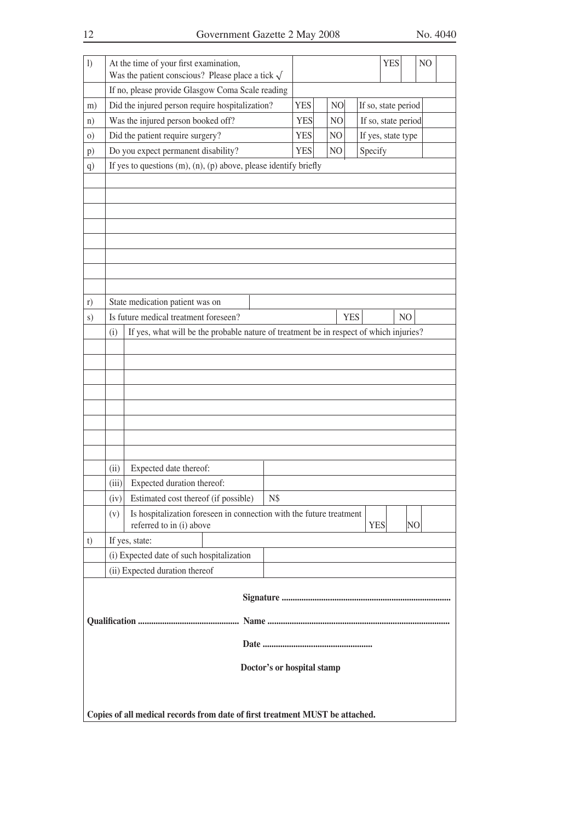| 1)             |                                                                                               | At the time of your first examination,                                                          |                            |                |            |                     | <b>YES</b>          |    | N <sub>O</sub> |  |
|----------------|-----------------------------------------------------------------------------------------------|-------------------------------------------------------------------------------------------------|----------------------------|----------------|------------|---------------------|---------------------|----|----------------|--|
|                |                                                                                               | Was the patient conscious? Please place a tick $\sqrt{}$                                        |                            |                |            |                     |                     |    |                |  |
|                |                                                                                               | If no, please provide Glasgow Coma Scale reading                                                |                            |                |            |                     |                     |    |                |  |
| m)             |                                                                                               | Did the injured person require hospitalization?                                                 | <b>YES</b>                 | N <sub>O</sub> |            | If so, state period |                     |    |                |  |
| n)             |                                                                                               | Was the injured person booked off?                                                              | <b>YES</b>                 | N <sub>O</sub> |            |                     | If so, state period |    |                |  |
| $\Omega$ )     |                                                                                               | Did the patient require surgery?                                                                | <b>YES</b>                 | NO             |            | If yes, state type  |                     |    |                |  |
| $\mathbf{p}$ ) |                                                                                               | Do you expect permanent disability?                                                             | <b>YES</b>                 | NO             |            | Specify             |                     |    |                |  |
| q)             |                                                                                               | If yes to questions $(m)$ , $(n)$ , $(p)$ above, please identify briefly                        |                            |                |            |                     |                     |    |                |  |
|                |                                                                                               |                                                                                                 |                            |                |            |                     |                     |    |                |  |
|                |                                                                                               |                                                                                                 |                            |                |            |                     |                     |    |                |  |
|                |                                                                                               |                                                                                                 |                            |                |            |                     |                     |    |                |  |
|                |                                                                                               |                                                                                                 |                            |                |            |                     |                     |    |                |  |
|                |                                                                                               |                                                                                                 |                            |                |            |                     |                     |    |                |  |
|                |                                                                                               |                                                                                                 |                            |                |            |                     |                     |    |                |  |
|                |                                                                                               |                                                                                                 |                            |                |            |                     |                     |    |                |  |
|                |                                                                                               |                                                                                                 |                            |                |            |                     |                     |    |                |  |
| r)<br>S)       |                                                                                               | State medication patient was on<br>Is future medical treatment foreseen?                        |                            |                | <b>YES</b> |                     |                     | NO |                |  |
|                |                                                                                               |                                                                                                 |                            |                |            |                     |                     |    |                |  |
|                | If yes, what will be the probable nature of treatment be in respect of which injuries?<br>(i) |                                                                                                 |                            |                |            |                     |                     |    |                |  |
|                |                                                                                               |                                                                                                 |                            |                |            |                     |                     |    |                |  |
|                |                                                                                               |                                                                                                 |                            |                |            |                     |                     |    |                |  |
|                |                                                                                               |                                                                                                 |                            |                |            |                     |                     |    |                |  |
|                |                                                                                               |                                                                                                 |                            |                |            |                     |                     |    |                |  |
|                |                                                                                               |                                                                                                 |                            |                |            |                     |                     |    |                |  |
|                |                                                                                               |                                                                                                 |                            |                |            |                     |                     |    |                |  |
|                |                                                                                               |                                                                                                 |                            |                |            |                     |                     |    |                |  |
|                | (ii)                                                                                          | Expected date thereof:                                                                          |                            |                |            |                     |                     |    |                |  |
|                | (iii)                                                                                         | Expected duration thereof:                                                                      |                            |                |            |                     |                     |    |                |  |
|                | (iv)                                                                                          | Estimated cost thereof (if possible)                                                            | N\$                        |                |            |                     |                     |    |                |  |
|                | (v)                                                                                           | Is hospitalization foreseen in connection with the future treatment<br>referred to in (i) above |                            |                |            | <b>YES</b>          |                     | NO |                |  |
| t)             |                                                                                               | If yes, state:                                                                                  |                            |                |            |                     |                     |    |                |  |
|                |                                                                                               | (i) Expected date of such hospitalization                                                       |                            |                |            |                     |                     |    |                |  |
|                |                                                                                               | (ii) Expected duration thereof                                                                  |                            |                |            |                     |                     |    |                |  |
|                |                                                                                               |                                                                                                 |                            |                |            |                     |                     |    |                |  |
|                |                                                                                               |                                                                                                 |                            |                |            |                     |                     |    |                |  |
|                |                                                                                               |                                                                                                 |                            |                |            |                     |                     |    |                |  |
|                |                                                                                               |                                                                                                 |                            |                |            |                     |                     |    |                |  |
|                |                                                                                               |                                                                                                 | Doctor's or hospital stamp |                |            |                     |                     |    |                |  |
|                |                                                                                               |                                                                                                 |                            |                |            |                     |                     |    |                |  |
|                |                                                                                               |                                                                                                 |                            |                |            |                     |                     |    |                |  |
|                |                                                                                               | Copies of all medical records from date of first treatment MUST be attached.                    |                            |                |            |                     |                     |    |                |  |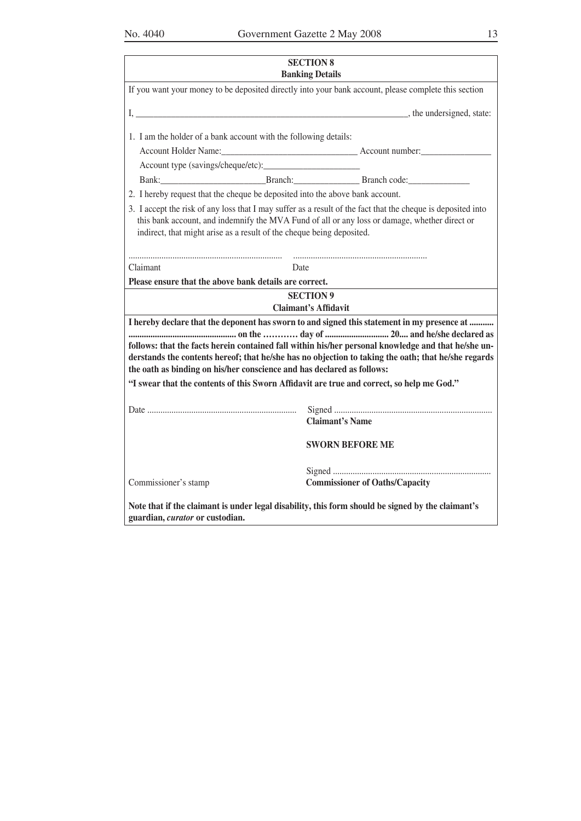| ٠<br>i |
|--------|
|        |
| I<br>I |

|                                                                                                                                                                                                                                                                                        | <b>SECTION 8</b><br><b>Banking Details</b>                                                                                                                                                                                                                                                                |  |  |  |  |  |  |  |
|----------------------------------------------------------------------------------------------------------------------------------------------------------------------------------------------------------------------------------------------------------------------------------------|-----------------------------------------------------------------------------------------------------------------------------------------------------------------------------------------------------------------------------------------------------------------------------------------------------------|--|--|--|--|--|--|--|
|                                                                                                                                                                                                                                                                                        | If you want your money to be deposited directly into your bank account, please complete this section                                                                                                                                                                                                      |  |  |  |  |  |  |  |
|                                                                                                                                                                                                                                                                                        |                                                                                                                                                                                                                                                                                                           |  |  |  |  |  |  |  |
| 1. I am the holder of a bank account with the following details:                                                                                                                                                                                                                       |                                                                                                                                                                                                                                                                                                           |  |  |  |  |  |  |  |
|                                                                                                                                                                                                                                                                                        | Bank: Branch: Branch. Branch Code:                                                                                                                                                                                                                                                                        |  |  |  |  |  |  |  |
| 2. I hereby request that the cheque be deposited into the above bank account.                                                                                                                                                                                                          |                                                                                                                                                                                                                                                                                                           |  |  |  |  |  |  |  |
| 3. I accept the risk of any loss that I may suffer as a result of the fact that the cheque is deposited into<br>this bank account, and indemnify the MVA Fund of all or any loss or damage, whether direct or<br>indirect, that might arise as a result of the cheque being deposited. |                                                                                                                                                                                                                                                                                                           |  |  |  |  |  |  |  |
| Claimant<br>Date                                                                                                                                                                                                                                                                       |                                                                                                                                                                                                                                                                                                           |  |  |  |  |  |  |  |
| Please ensure that the above bank details are correct.                                                                                                                                                                                                                                 |                                                                                                                                                                                                                                                                                                           |  |  |  |  |  |  |  |
|                                                                                                                                                                                                                                                                                        | <b>SECTION 9</b><br><b>Claimant's Affidavit</b>                                                                                                                                                                                                                                                           |  |  |  |  |  |  |  |
| the oath as binding on his/her conscience and has declared as follows:                                                                                                                                                                                                                 | I hereby declare that the deponent has sworn to and signed this statement in my presence at<br>follows: that the facts herein contained fall within his/her personal knowledge and that he/she un-<br>derstands the contents hereof; that he/she has no objection to taking the oath; that he/she regards |  |  |  |  |  |  |  |
| "I swear that the contents of this Sworn Affidavit are true and correct, so help me God."                                                                                                                                                                                              |                                                                                                                                                                                                                                                                                                           |  |  |  |  |  |  |  |
|                                                                                                                                                                                                                                                                                        | <b>Claimant's Name</b>                                                                                                                                                                                                                                                                                    |  |  |  |  |  |  |  |
| <b>SWORN BEFORE ME</b>                                                                                                                                                                                                                                                                 |                                                                                                                                                                                                                                                                                                           |  |  |  |  |  |  |  |
| Commissioner's stamp                                                                                                                                                                                                                                                                   | <b>Commissioner of Oaths/Capacity</b>                                                                                                                                                                                                                                                                     |  |  |  |  |  |  |  |
| Note that if the claimant is under legal disability, this form should be signed by the claimant's<br>guardian, curator or custodian.                                                                                                                                                   |                                                                                                                                                                                                                                                                                                           |  |  |  |  |  |  |  |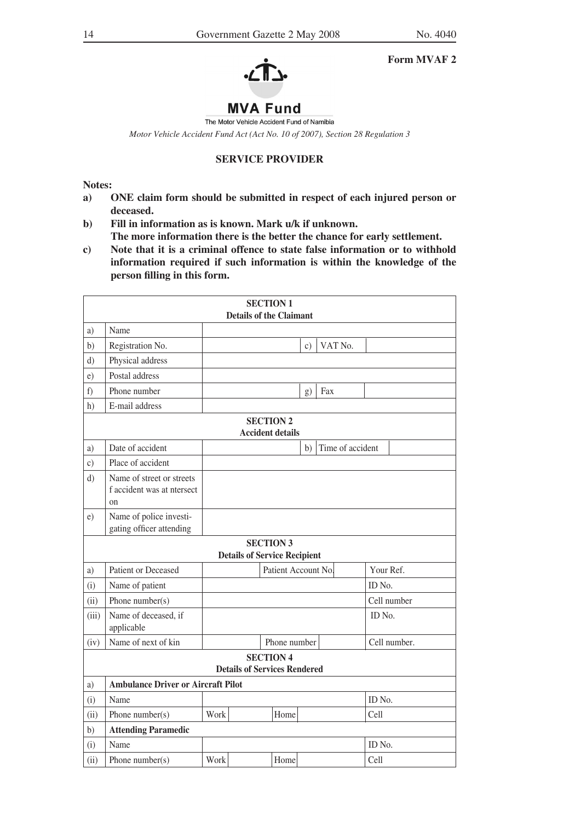#### **Form MVAF 2**



# **MVA Fund** The Motor Vehicle Accident Fund of Namibia

*Motor Vehicle Accident Fund Act (Act No. 10 of 2007), Section 28 Regulation 3*

# **SERVICE PROVIDER**

**Notes:**

- **a) ONE claim form should be submitted in respect of each injured person or deceased.**
- **b) Fill in information as is known. Mark u/k if unknown. The more information there is the better the chance for early settlement.**
- **c) Note that it is a criminal offence to state false information or to withhold information required if such information is within the knowledge of the person filling in this form.**

|       | <b>SECTION 1</b><br><b>Details of the Claimant</b>                       |      |                                     |                     |                 |     |                  |           |              |
|-------|--------------------------------------------------------------------------|------|-------------------------------------|---------------------|-----------------|-----|------------------|-----------|--------------|
| a)    | Name                                                                     |      |                                     |                     |                 |     |                  |           |              |
| b)    | Registration No.                                                         |      |                                     |                     | $\mathcal{C}$ ) |     | VAT No.          |           |              |
| d)    | Physical address                                                         |      |                                     |                     |                 |     |                  |           |              |
| e)    | Postal address                                                           |      |                                     |                     |                 |     |                  |           |              |
| f)    | Phone number                                                             |      |                                     |                     | g)              | Fax |                  |           |              |
| h)    | E-mail address                                                           |      |                                     |                     |                 |     |                  |           |              |
|       | <b>SECTION 2</b><br><b>Accident details</b>                              |      |                                     |                     |                 |     |                  |           |              |
| a)    | Date of accident                                                         |      |                                     |                     | b)              |     | Time of accident |           |              |
| c)    | Place of accident                                                        |      |                                     |                     |                 |     |                  |           |              |
| d)    | Name of street or streets<br>f accident was at ntersect<br><sub>on</sub> |      |                                     |                     |                 |     |                  |           |              |
| e)    | Name of police investi-<br>gating officer attending                      |      |                                     |                     |                 |     |                  |           |              |
|       |                                                                          |      | <b>Details of Service Recipient</b> | <b>SECTION 3</b>    |                 |     |                  |           |              |
| a)    | Patient or Deceased                                                      |      |                                     | Patient Account No. |                 |     |                  | Your Ref. |              |
| (i)   | Name of patient                                                          |      |                                     |                     |                 |     |                  | ID No.    |              |
| (ii)  | Phone $number(s)$                                                        |      |                                     |                     |                 |     |                  |           | Cell number  |
| (iii) | Name of deceased, if<br>applicable                                       |      |                                     |                     |                 |     |                  | ID No.    |              |
| (iv)  | Name of next of kin                                                      |      |                                     | Phone number        |                 |     |                  |           | Cell number. |
|       |                                                                          |      | <b>Details of Services Rendered</b> | <b>SECTION 4</b>    |                 |     |                  |           |              |
| a)    | <b>Ambulance Driver or Aircraft Pilot</b>                                |      |                                     |                     |                 |     |                  |           |              |
| (i)   | Name                                                                     |      |                                     |                     |                 |     |                  | ID No.    |              |
| (ii)  | Phone number(s)                                                          | Work |                                     | Home                |                 |     |                  | Cell      |              |
| b)    | <b>Attending Paramedic</b>                                               |      |                                     |                     |                 |     |                  |           |              |
| (i)   | Name                                                                     |      |                                     |                     |                 |     |                  | ID No.    |              |
| (ii)  | Phone number( $s$ )                                                      | Work |                                     | Home                |                 |     |                  | Cell      |              |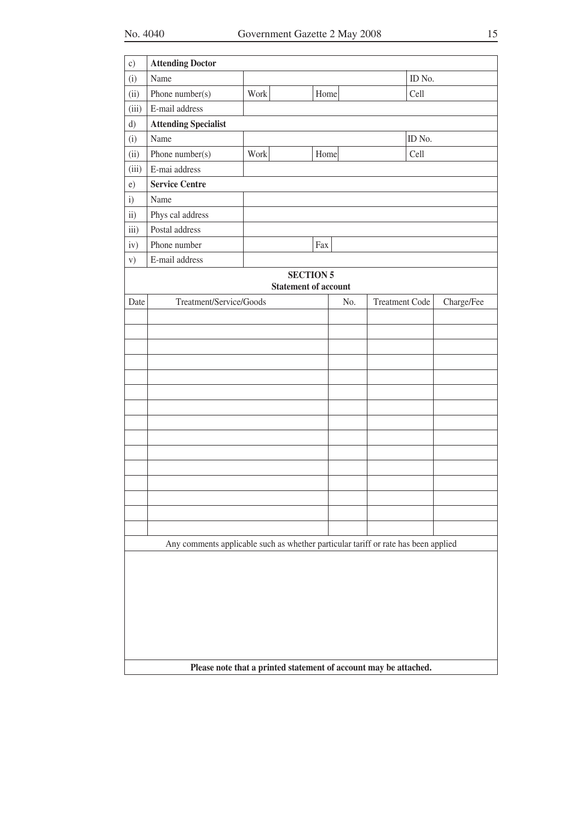| $\mathbf{c})$     | <b>Attending Doctor</b>                                                            |                                                                  |                             |     |                       |        |            |
|-------------------|------------------------------------------------------------------------------------|------------------------------------------------------------------|-----------------------------|-----|-----------------------|--------|------------|
| (i)               | Name                                                                               |                                                                  |                             |     |                       | ID No. |            |
| (ii)              | Phone number(s)                                                                    | Work                                                             | Home                        |     |                       | Cell   |            |
| (iii)             | E-mail address                                                                     |                                                                  |                             |     |                       |        |            |
| d)                | <b>Attending Specialist</b>                                                        |                                                                  |                             |     |                       |        |            |
| (i)               | Name                                                                               |                                                                  |                             |     |                       | ID No. |            |
| (ii)              | Phone number(s)                                                                    | Work                                                             | Home                        |     |                       | Cell   |            |
| (iii)             | E-mai address                                                                      |                                                                  |                             |     |                       |        |            |
| e)                | <b>Service Centre</b>                                                              |                                                                  |                             |     |                       |        |            |
| $\mathbf{i}$      | Name                                                                               |                                                                  |                             |     |                       |        |            |
| $\overline{11}$ ) | Phys cal address                                                                   |                                                                  |                             |     |                       |        |            |
| iii)              | Postal address                                                                     |                                                                  |                             |     |                       |        |            |
| iv)               | Phone number                                                                       |                                                                  | Fax                         |     |                       |        |            |
| V)                | E-mail address                                                                     |                                                                  |                             |     |                       |        |            |
|                   |                                                                                    |                                                                  | <b>SECTION 5</b>            |     |                       |        |            |
|                   |                                                                                    |                                                                  | <b>Statement of account</b> |     |                       |        |            |
| Date              | Treatment/Service/Goods                                                            |                                                                  |                             | No. | <b>Treatment Code</b> |        | Charge/Fee |
|                   |                                                                                    |                                                                  |                             |     |                       |        |            |
|                   |                                                                                    |                                                                  |                             |     |                       |        |            |
|                   |                                                                                    |                                                                  |                             |     |                       |        |            |
|                   |                                                                                    |                                                                  |                             |     |                       |        |            |
|                   |                                                                                    |                                                                  |                             |     |                       |        |            |
|                   |                                                                                    |                                                                  |                             |     |                       |        |            |
|                   |                                                                                    |                                                                  |                             |     |                       |        |            |
|                   |                                                                                    |                                                                  |                             |     |                       |        |            |
|                   |                                                                                    |                                                                  |                             |     |                       |        |            |
|                   |                                                                                    |                                                                  |                             |     |                       |        |            |
|                   |                                                                                    |                                                                  |                             |     |                       |        |            |
|                   |                                                                                    |                                                                  |                             |     |                       |        |            |
|                   |                                                                                    |                                                                  |                             |     |                       |        |            |
|                   |                                                                                    |                                                                  |                             |     |                       |        |            |
|                   |                                                                                    |                                                                  |                             |     |                       |        |            |
|                   | Any comments applicable such as whether particular tariff or rate has been applied |                                                                  |                             |     |                       |        |            |
|                   |                                                                                    |                                                                  |                             |     |                       |        |            |
|                   |                                                                                    |                                                                  |                             |     |                       |        |            |
|                   |                                                                                    |                                                                  |                             |     |                       |        |            |
|                   |                                                                                    |                                                                  |                             |     |                       |        |            |
|                   |                                                                                    |                                                                  |                             |     |                       |        |            |
|                   |                                                                                    |                                                                  |                             |     |                       |        |            |
|                   |                                                                                    |                                                                  |                             |     |                       |        |            |
|                   |                                                                                    | Please note that a printed statement of account may be attached. |                             |     |                       |        |            |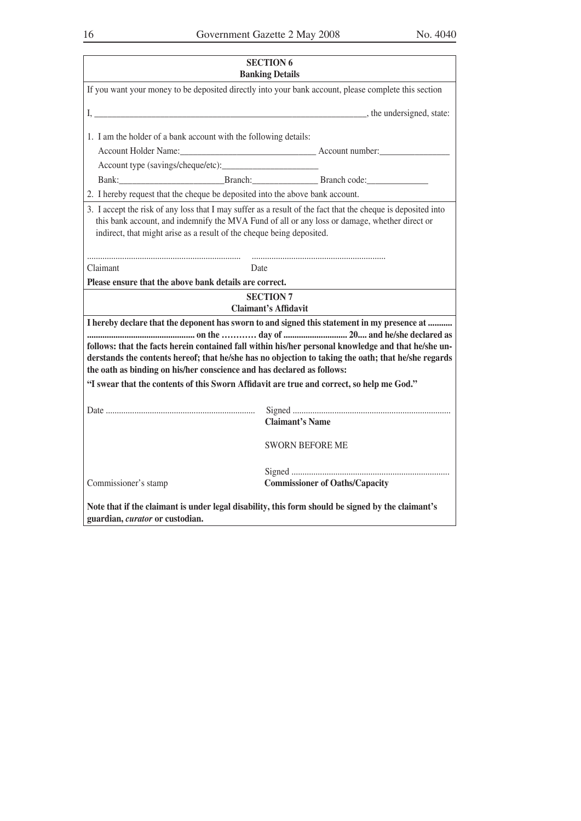| <b>SECTION 6</b><br><b>Banking Details</b>                                                                                           |                             |                                                                                                                                                                                                                                                                                                           |  |  |  |  |  |
|--------------------------------------------------------------------------------------------------------------------------------------|-----------------------------|-----------------------------------------------------------------------------------------------------------------------------------------------------------------------------------------------------------------------------------------------------------------------------------------------------------|--|--|--|--|--|
|                                                                                                                                      |                             | If you want your money to be deposited directly into your bank account, please complete this section                                                                                                                                                                                                      |  |  |  |  |  |
|                                                                                                                                      |                             | I, the undersigned, state:                                                                                                                                                                                                                                                                                |  |  |  |  |  |
| 1. I am the holder of a bank account with the following details:                                                                     |                             |                                                                                                                                                                                                                                                                                                           |  |  |  |  |  |
|                                                                                                                                      |                             |                                                                                                                                                                                                                                                                                                           |  |  |  |  |  |
|                                                                                                                                      |                             |                                                                                                                                                                                                                                                                                                           |  |  |  |  |  |
|                                                                                                                                      |                             | Bank: Bank: Branch: Branch: Branch code:                                                                                                                                                                                                                                                                  |  |  |  |  |  |
| 2. I hereby request that the cheque be deposited into the above bank account.                                                        |                             |                                                                                                                                                                                                                                                                                                           |  |  |  |  |  |
| indirect, that might arise as a result of the cheque being deposited.                                                                |                             | 3. I accept the risk of any loss that I may suffer as a result of the fact that the cheque is deposited into<br>this bank account, and indemnify the MVA Fund of all or any loss or damage, whether direct or                                                                                             |  |  |  |  |  |
| Claimant                                                                                                                             | Date                        |                                                                                                                                                                                                                                                                                                           |  |  |  |  |  |
| Please ensure that the above bank details are correct.                                                                               |                             |                                                                                                                                                                                                                                                                                                           |  |  |  |  |  |
|                                                                                                                                      | <b>SECTION 7</b>            |                                                                                                                                                                                                                                                                                                           |  |  |  |  |  |
|                                                                                                                                      | <b>Claimant's Affidavit</b> |                                                                                                                                                                                                                                                                                                           |  |  |  |  |  |
| the oath as binding on his/her conscience and has declared as follows:                                                               |                             | I hereby declare that the deponent has sworn to and signed this statement in my presence at<br>follows: that the facts herein contained fall within his/her personal knowledge and that he/she un-<br>derstands the contents hereof; that he/she has no objection to taking the oath; that he/she regards |  |  |  |  |  |
| "I swear that the contents of this Sworn Affidavit are true and correct, so help me God."                                            |                             |                                                                                                                                                                                                                                                                                                           |  |  |  |  |  |
|                                                                                                                                      |                             | <b>Claimant's Name</b>                                                                                                                                                                                                                                                                                    |  |  |  |  |  |
|                                                                                                                                      | <b>SWORN BEFORE ME</b>      |                                                                                                                                                                                                                                                                                                           |  |  |  |  |  |
| <b>Commissioner of Oaths/Capacity</b><br>Commissioner's stamp                                                                        |                             |                                                                                                                                                                                                                                                                                                           |  |  |  |  |  |
| Note that if the claimant is under legal disability, this form should be signed by the claimant's<br>guardian, curator or custodian. |                             |                                                                                                                                                                                                                                                                                                           |  |  |  |  |  |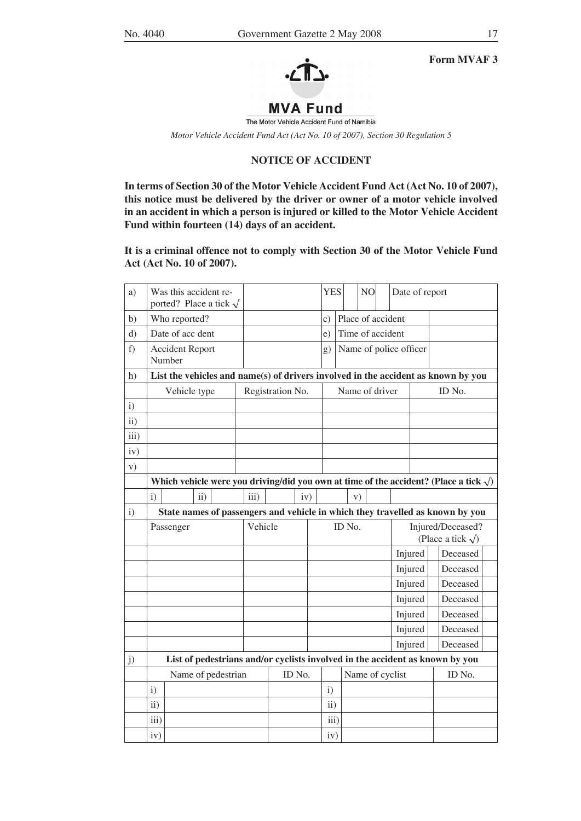

**Form MVAF 3**

# **MVA Fund**

The Motor Vehicle Accident Fund of Namibia

*Motor Vehicle Accident Fund Act (Act No. 10 of 2007), Section 30 Regulation 5*

# **NOTICE OF ACCIDENT**

**In terms of Section 30 of the Motor Vehicle Accident Fund Act (Act No. 10 of 2007), this notice must be delivered by the driver or owner of a motor vehicle involved in an accident in which a person is injured or killed to the Motor Vehicle Accident Fund within fourteen (14) days of an accident.**

**It is a criminal offence not to comply with Section 30 of the Motor Vehicle Fund Act (Act No. 10 of 2007).**

| a)            |                                                                                                | Was this accident re-<br>ported? Place a tick $\sqrt$ |                 |  |                  |        |     |  | <b>YES</b>      |  |    | NO |                 | Date of report         |  |                                                 |                                                                                   |  |
|---------------|------------------------------------------------------------------------------------------------|-------------------------------------------------------|-----------------|--|------------------|--------|-----|--|-----------------|--|----|----|-----------------|------------------------|--|-------------------------------------------------|-----------------------------------------------------------------------------------|--|
| b)            |                                                                                                | Who reported?                                         |                 |  |                  |        |     |  | $\mathcal{C}$ ) |  |    |    |                 | Place of accident      |  |                                                 |                                                                                   |  |
| d)            |                                                                                                | Date of acc dent                                      |                 |  |                  |        |     |  | e)              |  |    |    |                 | Time of accident       |  |                                                 |                                                                                   |  |
| $f$ )         |                                                                                                | <b>Accident Report</b><br>Number                      |                 |  |                  |        |     |  | g)              |  |    |    |                 | Name of police officer |  |                                                 |                                                                                   |  |
| h)            |                                                                                                |                                                       |                 |  |                  |        |     |  |                 |  |    |    |                 |                        |  |                                                 | List the vehicles and name(s) of drivers involved in the accident as known by you |  |
|               |                                                                                                | Vehicle type                                          |                 |  | Registration No. |        |     |  | Name of driver  |  |    |    |                 | ID No.                 |  |                                                 |                                                                                   |  |
| $\mathbf{i}$  |                                                                                                |                                                       |                 |  |                  |        |     |  |                 |  |    |    |                 |                        |  |                                                 |                                                                                   |  |
| $\mathbf{ii}$ |                                                                                                |                                                       |                 |  |                  |        |     |  |                 |  |    |    |                 |                        |  |                                                 |                                                                                   |  |
| iii)          |                                                                                                |                                                       |                 |  |                  |        |     |  |                 |  |    |    |                 |                        |  |                                                 |                                                                                   |  |
| iv)           |                                                                                                |                                                       |                 |  |                  |        |     |  |                 |  |    |    |                 |                        |  |                                                 |                                                                                   |  |
| V)            |                                                                                                |                                                       |                 |  |                  |        |     |  |                 |  |    |    |                 |                        |  |                                                 |                                                                                   |  |
|               | Which vehicle were you driving/did you own at time of the accident? (Place a tick $\sqrt{ }$ ) |                                                       |                 |  |                  |        |     |  |                 |  |    |    |                 |                        |  |                                                 |                                                                                   |  |
|               | $\ddot{i}$                                                                                     |                                                       | $\overline{11}$ |  | iii)             |        | iv) |  |                 |  | V) |    |                 |                        |  |                                                 |                                                                                   |  |
| $\mathbf{i}$  | State names of passengers and vehicle in which they travelled as known by you                  |                                                       |                 |  |                  |        |     |  |                 |  |    |    |                 |                        |  |                                                 |                                                                                   |  |
|               |                                                                                                | Passenger                                             |                 |  | Vehicle          |        |     |  | ID No.          |  |    |    |                 |                        |  | Injured/Deceased?<br>(Place a tick $\sqrt{ }$ ) |                                                                                   |  |
|               |                                                                                                |                                                       |                 |  |                  |        |     |  |                 |  |    |    |                 | Injured                |  |                                                 | Deceased                                                                          |  |
|               |                                                                                                |                                                       |                 |  |                  |        |     |  |                 |  |    |    |                 | Injured                |  |                                                 | Deceased                                                                          |  |
|               |                                                                                                |                                                       |                 |  |                  |        |     |  |                 |  |    |    |                 | Injured                |  |                                                 | Deceased                                                                          |  |
|               |                                                                                                |                                                       |                 |  |                  |        |     |  |                 |  |    |    |                 | Injured                |  |                                                 | Deceased                                                                          |  |
|               |                                                                                                |                                                       |                 |  |                  |        |     |  |                 |  |    |    |                 | Injured                |  |                                                 | Deceased                                                                          |  |
|               |                                                                                                |                                                       |                 |  |                  |        |     |  |                 |  |    |    |                 | Injured                |  |                                                 | Deceased                                                                          |  |
|               |                                                                                                |                                                       |                 |  |                  |        |     |  |                 |  |    |    |                 | Injured                |  |                                                 | Deceased                                                                          |  |
| j)            |                                                                                                |                                                       |                 |  |                  |        |     |  |                 |  |    |    |                 |                        |  |                                                 | List of pedestrians and/or cyclists involved in the accident as known by you      |  |
|               | Name of pedestrian                                                                             |                                                       |                 |  |                  | ID No. |     |  |                 |  |    |    | Name of cyclist |                        |  | ID No.                                          |                                                                                   |  |
|               | i)                                                                                             |                                                       |                 |  |                  |        |     |  | $\mathbf{i}$    |  |    |    |                 |                        |  |                                                 |                                                                                   |  |
|               | $\overline{11}$                                                                                |                                                       |                 |  |                  |        |     |  | $\mathbf{ii}$   |  |    |    |                 |                        |  |                                                 |                                                                                   |  |
|               | iii)                                                                                           |                                                       |                 |  |                  |        |     |  | iii)            |  |    |    |                 |                        |  |                                                 |                                                                                   |  |
|               | iv)                                                                                            |                                                       |                 |  |                  |        |     |  | iv)             |  |    |    |                 |                        |  |                                                 |                                                                                   |  |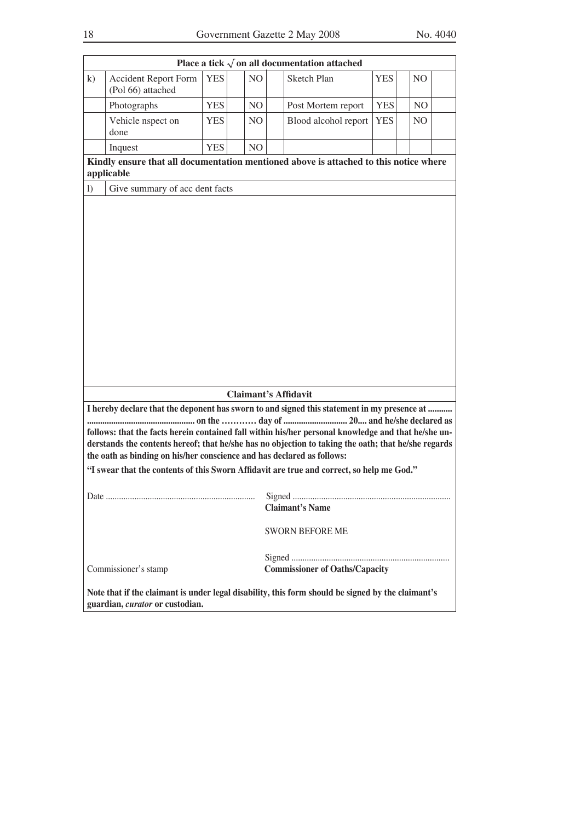|                  |                                                                                                                                                                                                                                                                                                                                                                                                                                                                                  |            |                | Place a tick $\sqrt{ }$ on all documentation attached                                 |            |                |  |  |  |  |  |
|------------------|----------------------------------------------------------------------------------------------------------------------------------------------------------------------------------------------------------------------------------------------------------------------------------------------------------------------------------------------------------------------------------------------------------------------------------------------------------------------------------|------------|----------------|---------------------------------------------------------------------------------------|------------|----------------|--|--|--|--|--|
| k)               | <b>Accident Report Form</b><br>(Pol 66) attached                                                                                                                                                                                                                                                                                                                                                                                                                                 | <b>YES</b> | NO             | <b>Sketch Plan</b>                                                                    | <b>YES</b> | N <sub>O</sub> |  |  |  |  |  |
|                  | Photographs                                                                                                                                                                                                                                                                                                                                                                                                                                                                      | <b>YES</b> | NO.            | Post Mortem report                                                                    | <b>YES</b> | NO.            |  |  |  |  |  |
|                  | Vehicle nspect on<br>done                                                                                                                                                                                                                                                                                                                                                                                                                                                        | <b>YES</b> | NO.            | Blood alcohol report                                                                  | <b>YES</b> | N <sub>O</sub> |  |  |  |  |  |
|                  | Inquest                                                                                                                                                                                                                                                                                                                                                                                                                                                                          | <b>YES</b> | N <sub>O</sub> |                                                                                       |            |                |  |  |  |  |  |
|                  | applicable                                                                                                                                                                                                                                                                                                                                                                                                                                                                       |            |                | Kindly ensure that all documentation mentioned above is attached to this notice where |            |                |  |  |  |  |  |
| $\left( \right)$ | Give summary of acc dent facts                                                                                                                                                                                                                                                                                                                                                                                                                                                   |            |                |                                                                                       |            |                |  |  |  |  |  |
|                  |                                                                                                                                                                                                                                                                                                                                                                                                                                                                                  |            |                |                                                                                       |            |                |  |  |  |  |  |
|                  |                                                                                                                                                                                                                                                                                                                                                                                                                                                                                  |            |                | <b>Claimant's Affidavit</b>                                                           |            |                |  |  |  |  |  |
|                  | I hereby declare that the deponent has sworn to and signed this statement in my presence at<br>follows: that the facts herein contained fall within his/her personal knowledge and that he/she un-<br>derstands the contents hereof; that he/she has no objection to taking the oath; that he/she regards<br>the oath as binding on his/her conscience and has declared as follows:<br>"I swear that the contents of this Sworn Affidavit are true and correct, so help me God." |            |                |                                                                                       |            |                |  |  |  |  |  |
|                  |                                                                                                                                                                                                                                                                                                                                                                                                                                                                                  |            |                | <b>Claimant's Name</b>                                                                |            |                |  |  |  |  |  |
|                  |                                                                                                                                                                                                                                                                                                                                                                                                                                                                                  |            |                | <b>SWORN BEFORE ME</b>                                                                |            |                |  |  |  |  |  |
|                  | Commissioner's stamp                                                                                                                                                                                                                                                                                                                                                                                                                                                             |            |                | <b>Commissioner of Oaths/Capacity</b>                                                 |            |                |  |  |  |  |  |
|                  | Note that if the claimant is under legal disability, this form should be signed by the claimant's<br>guardian, curator or custodian.                                                                                                                                                                                                                                                                                                                                             |            |                |                                                                                       |            |                |  |  |  |  |  |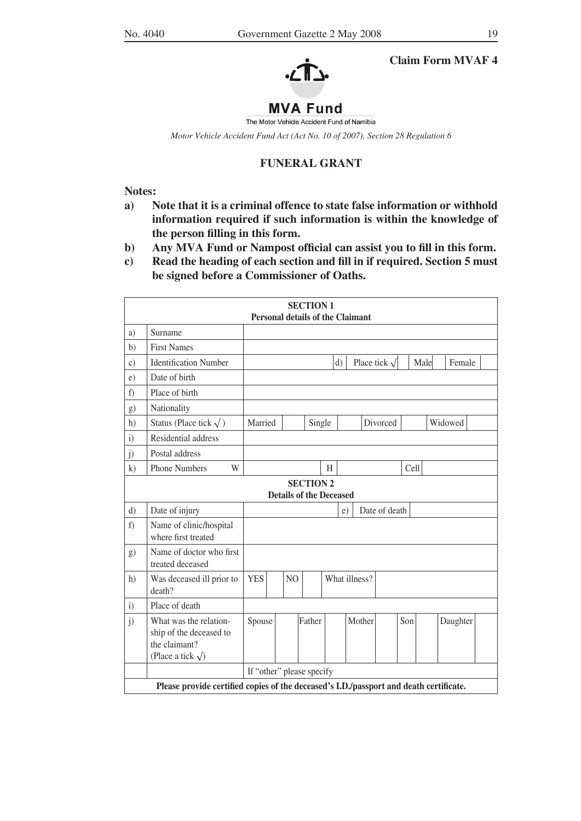

# **Claim Form MVAF 4**

# **MVA Fund**

The Motor Vehicle Accident Fund of Namibia

*Motor Vehicle Accident Fund Act (Act No. 10 of 2007), Section 28 Regulation 6*

## **FUNERAL GRANT**

**Notes:**

- **a) Note that it is a criminal offence to state false information or withhold information required if such information is within the knowledge of the person filling in this form.**
- **b) Any MVA Fund or Nampost official can assist you to fill in this form.**
- **c) Read the heading of each section and fill in if required. Section 5 must be signed before a Commissioner of Oaths.**

|              | <b>SECTION 1</b><br><b>Personal details of the Claimant</b>                                      |                           |  |                |        |  |    |               |                    |     |      |          |  |
|--------------|--------------------------------------------------------------------------------------------------|---------------------------|--|----------------|--------|--|----|---------------|--------------------|-----|------|----------|--|
| a)           | Surname                                                                                          |                           |  |                |        |  |    |               |                    |     |      |          |  |
| b)           | <b>First Names</b>                                                                               |                           |  |                |        |  |    |               |                    |     |      |          |  |
| c)           | <b>Identification Number</b>                                                                     |                           |  |                |        |  | d) |               | Place tick $\sqrt$ |     | Male | Female   |  |
| e)           | Date of birth                                                                                    |                           |  |                |        |  |    |               |                    |     |      |          |  |
| f)           | Place of birth                                                                                   |                           |  |                |        |  |    |               |                    |     |      |          |  |
| g)           | Nationality                                                                                      |                           |  |                |        |  |    |               |                    |     |      |          |  |
| h)           | Status (Place tick $\sqrt{}$ )                                                                   | Married                   |  |                | Single |  |    |               | Divorced           |     |      | Widowed  |  |
| $\ddot{i}$   | Residential address                                                                              |                           |  |                |        |  |    |               |                    |     |      |          |  |
| j)           | Postal address                                                                                   |                           |  |                |        |  |    |               |                    |     |      |          |  |
| k)           | <b>Phone Numbers</b><br>W<br>Cell<br>H                                                           |                           |  |                |        |  |    |               |                    |     |      |          |  |
|              | <b>SECTION 2</b><br><b>Details of the Deceased</b>                                               |                           |  |                |        |  |    |               |                    |     |      |          |  |
| d)           | Date of injury                                                                                   |                           |  |                |        |  | e) |               | Date of death      |     |      |          |  |
| f)           | Name of clinic/hospital<br>where first treated                                                   |                           |  |                |        |  |    |               |                    |     |      |          |  |
| g)           | Name of doctor who first<br>treated deceased                                                     |                           |  |                |        |  |    |               |                    |     |      |          |  |
| h)           | Was deceased ill prior to<br>death?                                                              | <b>YES</b>                |  | N <sub>O</sub> |        |  |    | What illness? |                    |     |      |          |  |
| $\mathbf{i}$ | Place of death                                                                                   |                           |  |                |        |  |    |               |                    |     |      |          |  |
| j)           | What was the relation-<br>ship of the deceased to<br>the claimant?<br>(Place a tick $\sqrt{ }$ ) | Spouse                    |  |                | Father |  |    | Mother        |                    | Son |      | Daughter |  |
|              |                                                                                                  | If "other" please specify |  |                |        |  |    |               |                    |     |      |          |  |
|              | Please provide certified copies of the deceased's I.D./passport and death certificate.           |                           |  |                |        |  |    |               |                    |     |      |          |  |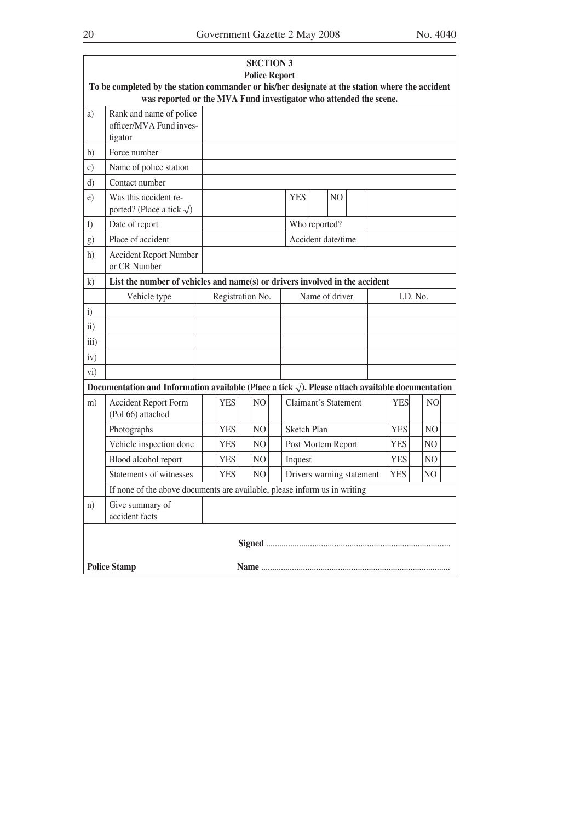|                   | To be completed by the station commander or his/her designate at the station where the accident<br>was reported or the MVA Fund investigator who attended the scene. |  |            | <b>SECTION 3</b><br><b>Police Report</b> |  |                      |                |                |                           |            |          |                |  |
|-------------------|----------------------------------------------------------------------------------------------------------------------------------------------------------------------|--|------------|------------------------------------------|--|----------------------|----------------|----------------|---------------------------|------------|----------|----------------|--|
| a)                | Rank and name of police<br>officer/MVA Fund inves-<br>tigator                                                                                                        |  |            |                                          |  |                      |                |                |                           |            |          |                |  |
| b)                | Force number                                                                                                                                                         |  |            |                                          |  |                      |                |                |                           |            |          |                |  |
| $\mathcal{C}$ )   | Name of police station                                                                                                                                               |  |            |                                          |  |                      |                |                |                           |            |          |                |  |
| $\mathbf{d}$      | Contact number                                                                                                                                                       |  |            |                                          |  |                      |                |                |                           |            |          |                |  |
| e)                | Was this accident re-<br>ported? (Place a tick $\sqrt{}$ )                                                                                                           |  |            |                                          |  | <b>YES</b>           |                | N <sub>O</sub> |                           |            |          |                |  |
| f                 | Date of report                                                                                                                                                       |  |            |                                          |  | Who reported?        |                |                |                           |            |          |                |  |
| g)                | Place of accident                                                                                                                                                    |  |            |                                          |  | Accident date/time   |                |                |                           |            |          |                |  |
| h)                | <b>Accident Report Number</b><br>or CR Number                                                                                                                        |  |            |                                          |  |                      |                |                |                           |            |          |                |  |
| $\bf k)$          | List the number of vehicles and name(s) or drivers involved in the accident                                                                                          |  |            |                                          |  |                      |                |                |                           |            |          |                |  |
|                   | Vehicle type                                                                                                                                                         |  |            | Registration No.                         |  |                      | Name of driver |                |                           |            | I.D. No. |                |  |
| $\mathbf{i}$      |                                                                                                                                                                      |  |            |                                          |  |                      |                |                |                           |            |          |                |  |
| $\overline{11}$ ) |                                                                                                                                                                      |  |            |                                          |  |                      |                |                |                           |            |          |                |  |
| iii)              |                                                                                                                                                                      |  |            |                                          |  |                      |                |                |                           |            |          |                |  |
| iv)               |                                                                                                                                                                      |  |            |                                          |  |                      |                |                |                           |            |          |                |  |
| $\overline{vi}$ ) |                                                                                                                                                                      |  |            |                                          |  |                      |                |                |                           |            |          |                |  |
|                   | Documentation and Information available (Place a tick $\sqrt{ }$ ). Please attach available documentation                                                            |  |            |                                          |  |                      |                |                |                           |            |          |                |  |
| m)                | <b>Accident Report Form</b><br>(Pol 66) attached                                                                                                                     |  | <b>YES</b> | NO.                                      |  | Claimant's Statement |                |                |                           | <b>YES</b> |          | N <sub>O</sub> |  |
|                   | Photographs                                                                                                                                                          |  | <b>YES</b> | N <sub>O</sub>                           |  | <b>Sketch Plan</b>   |                |                |                           | <b>YES</b> |          | N <sub>O</sub> |  |
|                   | Vehicle inspection done                                                                                                                                              |  | <b>YES</b> | N <sub>O</sub>                           |  | Post Mortem Report   |                |                |                           | <b>YES</b> |          | N <sub>O</sub> |  |
|                   | Blood alcohol report                                                                                                                                                 |  | <b>YES</b> | N <sub>O</sub>                           |  | Inquest              |                |                |                           | <b>YES</b> |          | N <sub>O</sub> |  |
|                   | Statements of witnesses                                                                                                                                              |  | <b>YES</b> | N <sub>O</sub>                           |  |                      |                |                | Drivers warning statement | <b>YES</b> |          | N <sub>O</sub> |  |
|                   | If none of the above documents are available, please inform us in writing                                                                                            |  |            |                                          |  |                      |                |                |                           |            |          |                |  |
| n)                | Give summary of<br>accident facts                                                                                                                                    |  |            |                                          |  |                      |                |                |                           |            |          |                |  |
|                   |                                                                                                                                                                      |  |            |                                          |  |                      |                |                |                           |            |          |                |  |
|                   | <b>Police Stamp</b>                                                                                                                                                  |  |            |                                          |  |                      |                |                |                           |            |          |                |  |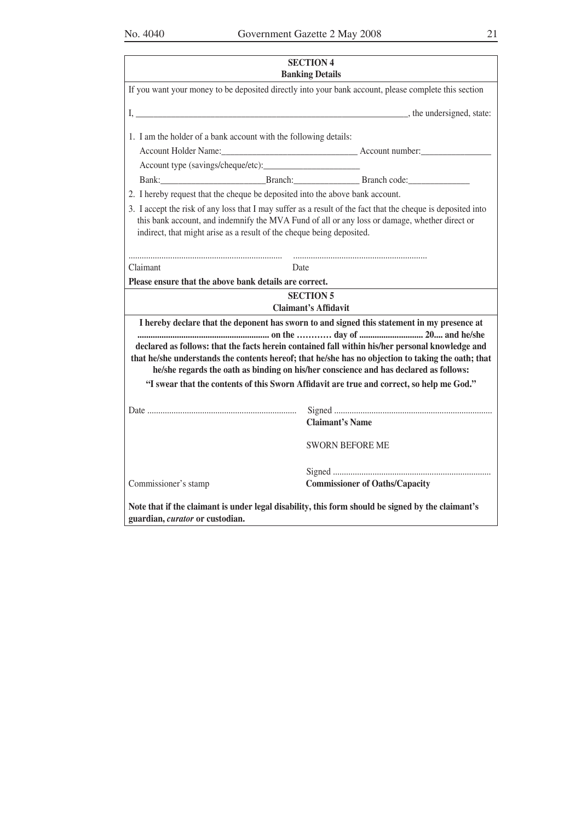| <b>SECTION 4</b><br><b>Banking Details</b>                                                                                                                                                                                                                                             |                                                                                                                                                                                                                                                                                                                                                                                               |  |  |  |  |  |  |  |  |
|----------------------------------------------------------------------------------------------------------------------------------------------------------------------------------------------------------------------------------------------------------------------------------------|-----------------------------------------------------------------------------------------------------------------------------------------------------------------------------------------------------------------------------------------------------------------------------------------------------------------------------------------------------------------------------------------------|--|--|--|--|--|--|--|--|
|                                                                                                                                                                                                                                                                                        | If you want your money to be deposited directly into your bank account, please complete this section                                                                                                                                                                                                                                                                                          |  |  |  |  |  |  |  |  |
|                                                                                                                                                                                                                                                                                        |                                                                                                                                                                                                                                                                                                                                                                                               |  |  |  |  |  |  |  |  |
| 1. I am the holder of a bank account with the following details:                                                                                                                                                                                                                       |                                                                                                                                                                                                                                                                                                                                                                                               |  |  |  |  |  |  |  |  |
|                                                                                                                                                                                                                                                                                        |                                                                                                                                                                                                                                                                                                                                                                                               |  |  |  |  |  |  |  |  |
|                                                                                                                                                                                                                                                                                        |                                                                                                                                                                                                                                                                                                                                                                                               |  |  |  |  |  |  |  |  |
|                                                                                                                                                                                                                                                                                        | Bank: Branch: Branch: Branch Branch code:                                                                                                                                                                                                                                                                                                                                                     |  |  |  |  |  |  |  |  |
| 2. I hereby request that the cheque be deposited into the above bank account.                                                                                                                                                                                                          |                                                                                                                                                                                                                                                                                                                                                                                               |  |  |  |  |  |  |  |  |
| 3. I accept the risk of any loss that I may suffer as a result of the fact that the cheque is deposited into<br>this bank account, and indemnify the MVA Fund of all or any loss or damage, whether direct or<br>indirect, that might arise as a result of the cheque being deposited. |                                                                                                                                                                                                                                                                                                                                                                                               |  |  |  |  |  |  |  |  |
| Claimant<br>Date                                                                                                                                                                                                                                                                       |                                                                                                                                                                                                                                                                                                                                                                                               |  |  |  |  |  |  |  |  |
| Please ensure that the above bank details are correct.                                                                                                                                                                                                                                 |                                                                                                                                                                                                                                                                                                                                                                                               |  |  |  |  |  |  |  |  |
|                                                                                                                                                                                                                                                                                        | <b>SECTION 5</b>                                                                                                                                                                                                                                                                                                                                                                              |  |  |  |  |  |  |  |  |
|                                                                                                                                                                                                                                                                                        | <b>Claimant's Affidavit</b>                                                                                                                                                                                                                                                                                                                                                                   |  |  |  |  |  |  |  |  |
|                                                                                                                                                                                                                                                                                        | I hereby declare that the deponent has sworn to and signed this statement in my presence at<br>declared as follows: that the facts herein contained fall within his/her personal knowledge and<br>that he/she understands the contents hereof; that he/she has no objection to taking the oath; that<br>he/she regards the oath as binding on his/her conscience and has declared as follows: |  |  |  |  |  |  |  |  |
|                                                                                                                                                                                                                                                                                        | "I swear that the contents of this Sworn Affidavit are true and correct, so help me God."                                                                                                                                                                                                                                                                                                     |  |  |  |  |  |  |  |  |
|                                                                                                                                                                                                                                                                                        | <b>Claimant's Name</b>                                                                                                                                                                                                                                                                                                                                                                        |  |  |  |  |  |  |  |  |
|                                                                                                                                                                                                                                                                                        | <b>SWORN BEFORE ME</b>                                                                                                                                                                                                                                                                                                                                                                        |  |  |  |  |  |  |  |  |
| Commissioner's stamp                                                                                                                                                                                                                                                                   | <b>Commissioner of Oaths/Capacity</b>                                                                                                                                                                                                                                                                                                                                                         |  |  |  |  |  |  |  |  |
| guardian, curator or custodian.                                                                                                                                                                                                                                                        | Note that if the claimant is under legal disability, this form should be signed by the claimant's                                                                                                                                                                                                                                                                                             |  |  |  |  |  |  |  |  |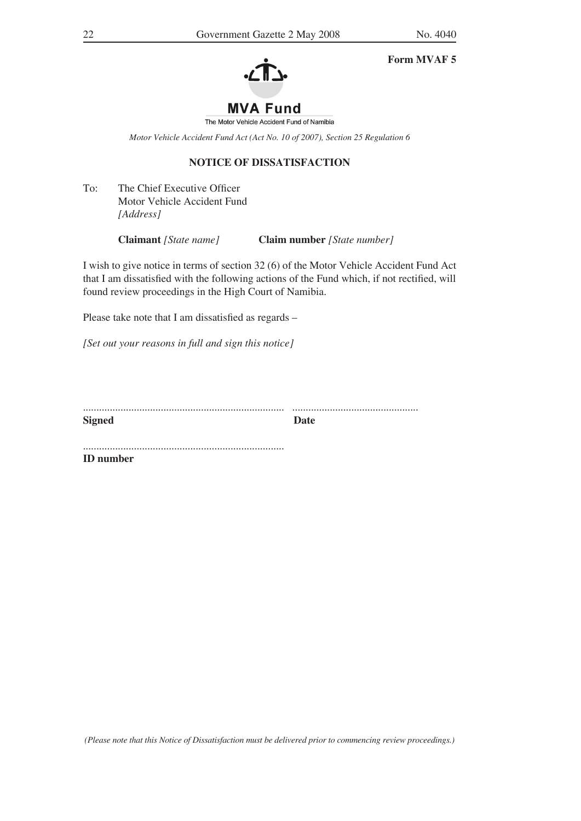**Form MVAF 5**



The Motor Vehicle Accident Fund of Namibia

*Motor Vehicle Accident Fund Act (Act No. 10 of 2007), Section 25 Regulation 6*

## **NOTICE OF DISSATISFACTION**

To: The Chief Executive Officer Motor Vehicle Accident Fund *[Address]*

**Claimant** *[State name]* **Claim number** *[State number]*

I wish to give notice in terms of section 32 (6) of the Motor Vehicle Accident Fund Act that I am dissatisfied with the following actions of the Fund which, if not rectified, will found review proceedings in the High Court of Namibia.

Please take note that I am dissatisfied as regards –

*[Set out your reasons in full and sign this notice]*

| <b>Signed</b> |  |
|---------------|--|

........................................................................... **ID number**

*(Please note that this Notice of Dissatisfaction must be delivered prior to commencing review proceedings.)*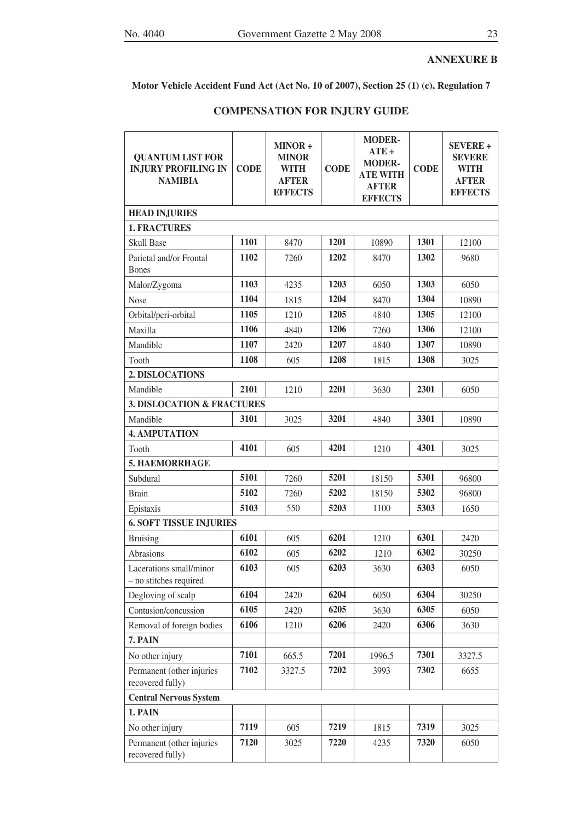# **ANNEXURE B**

**Motor Vehicle Accident Fund Act (Act No. 10 of 2007), Section 25 (1) (c), Regulation 7**

| <b>QUANTUM LIST FOR</b><br><b>INJURY PROFILING IN</b><br><b>NAMIBIA</b> | <b>CODE</b> | MINOR+<br><b>MINOR</b><br><b>WITH</b><br><b>AFTER</b><br><b>EFFECTS</b> | <b>CODE</b> | <b>MODER-</b><br>$ATE+$<br><b>MODER-</b><br><b>ATE WITH</b><br><b>AFTER</b><br><b>EFFECTS</b> | <b>CODE</b> | <b>SEVERE +</b><br><b>SEVERE</b><br><b>WITH</b><br><b>AFTER</b><br><b>EFFECTS</b> |
|-------------------------------------------------------------------------|-------------|-------------------------------------------------------------------------|-------------|-----------------------------------------------------------------------------------------------|-------------|-----------------------------------------------------------------------------------|
| <b>HEAD INJURIES</b>                                                    |             |                                                                         |             |                                                                                               |             |                                                                                   |
| <b>1. FRACTURES</b>                                                     |             |                                                                         |             |                                                                                               |             |                                                                                   |
| <b>Skull Base</b>                                                       | 1101        | 8470                                                                    | 1201        | 10890                                                                                         | 1301        | 12100                                                                             |
| Parietal and/or Frontal<br><b>Bones</b>                                 | 1102        | 7260                                                                    | 1202        | 8470                                                                                          | 1302        | 9680                                                                              |
| Malor/Zygoma                                                            | 1103        | 4235                                                                    | 1203        | 6050                                                                                          | 1303        | 6050                                                                              |
| <b>Nose</b>                                                             | 1104        | 1815                                                                    | 1204        | 8470                                                                                          | 1304        | 10890                                                                             |
| Orbital/peri-orbital                                                    | 1105        | 1210                                                                    | 1205        | 4840                                                                                          | 1305        | 12100                                                                             |
| Maxilla                                                                 | 1106        | 4840                                                                    | 1206        | 7260                                                                                          | 1306        | 12100                                                                             |
| Mandible                                                                | 1107        | 2420                                                                    | 1207        | 4840                                                                                          | 1307        | 10890                                                                             |
| Tooth                                                                   | 1108        | 605                                                                     | 1208        | 1815                                                                                          | 1308        | 3025                                                                              |
| 2. DISLOCATIONS                                                         |             |                                                                         |             |                                                                                               |             |                                                                                   |
| Mandible                                                                | 2101        | 1210                                                                    | 2201        | 3630                                                                                          | 2301        | 6050                                                                              |
| <b>3. DISLOCATION &amp; FRACTURES</b>                                   |             |                                                                         |             |                                                                                               |             |                                                                                   |
| Mandible                                                                | 3101        | 3025                                                                    | 3201        | 4840                                                                                          | 3301        | 10890                                                                             |
| <b>4. AMPUTATION</b>                                                    |             |                                                                         |             |                                                                                               |             |                                                                                   |
| Tooth                                                                   | 4101        | 605                                                                     | 4201        | 1210                                                                                          | 4301        | 3025                                                                              |
| 5. HAEMORRHAGE                                                          |             |                                                                         |             |                                                                                               |             |                                                                                   |
| Subdural                                                                | 5101        | 7260                                                                    | 5201        | 18150                                                                                         | 5301        | 96800                                                                             |
| <b>Brain</b>                                                            | 5102        | 7260                                                                    | 5202        | 18150                                                                                         | 5302        | 96800                                                                             |
| Epistaxis                                                               | 5103        | 550                                                                     | 5203        | 1100                                                                                          | 5303        | 1650                                                                              |
| <b>6. SOFT TISSUE INJURIES</b>                                          |             |                                                                         |             |                                                                                               |             |                                                                                   |
| <b>Bruising</b>                                                         | 6101        | 605                                                                     | 6201        | 1210                                                                                          | 6301        | 2420                                                                              |
| Abrasions                                                               | 6102        | 605                                                                     | 6202        | 1210                                                                                          | 6302        | 30250                                                                             |
| Lacerations small/minor<br>- no stitches required                       | 6103        | 605                                                                     | 6203        | 3630                                                                                          | 6303        | 6050                                                                              |
| Degloving of scalp                                                      | 6104        | 2420                                                                    | 6204        | 6050                                                                                          | 6304        | 30250                                                                             |
| Contusion/concussion                                                    | 6105        | 2420                                                                    | 6205        | 3630                                                                                          | 6305        | 6050                                                                              |
| Removal of foreign bodies                                               | 6106        | 1210                                                                    | 6206        | 2420                                                                                          | 6306        | 3630                                                                              |
| 7. PAIN                                                                 |             |                                                                         |             |                                                                                               |             |                                                                                   |
| No other injury                                                         | 7101        | 665.5                                                                   | 7201        | 1996.5                                                                                        | 7301        | 3327.5                                                                            |
| Permanent (other injuries<br>recovered fully)                           | 7102        | 3327.5                                                                  | 7202        | 3993                                                                                          | 7302        | 6655                                                                              |
| <b>Central Nervous System</b>                                           |             |                                                                         |             |                                                                                               |             |                                                                                   |
| 1. PAIN                                                                 |             |                                                                         |             |                                                                                               |             |                                                                                   |
| No other injury                                                         | 7119        | 605                                                                     | 7219        | 1815                                                                                          | 7319        | 3025                                                                              |
| Permanent (other injuries<br>recovered fully)                           | 7120        | 3025                                                                    | 7220        | 4235                                                                                          | 7320        | 6050                                                                              |

## **COMPENSATION FOR INJURY GUIDE**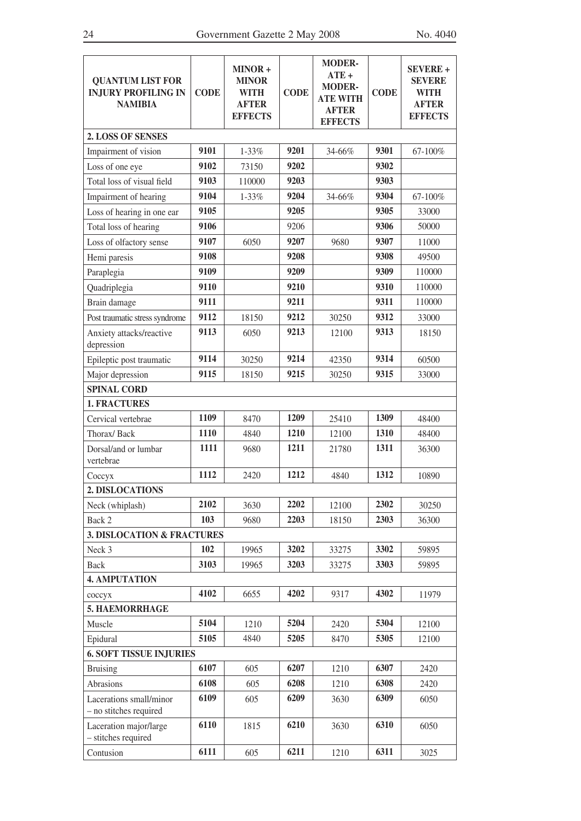| <b>QUANTUM LIST FOR</b><br><b>INJURY PROFILING IN</b><br><b>NAMIBIA</b> | <b>CODE</b> | MINOR+<br><b>MINOR</b><br><b>WITH</b><br><b>AFTER</b><br><b>EFFECTS</b> | <b>CODE</b> | <b>MODER-</b><br>$ATE +$<br><b>MODER-</b><br><b>ATE WITH</b><br><b>AFTER</b><br><b>EFFECTS</b> | <b>CODE</b> | <b>SEVERE +</b><br>SEVERE<br>WITH<br><b>AFTER</b><br><b>EFFECTS</b> |
|-------------------------------------------------------------------------|-------------|-------------------------------------------------------------------------|-------------|------------------------------------------------------------------------------------------------|-------------|---------------------------------------------------------------------|
| <b>2. LOSS OF SENSES</b>                                                |             |                                                                         |             |                                                                                                |             |                                                                     |
| Impairment of vision                                                    | 9101        | 1-33%                                                                   | 9201        | 34-66%                                                                                         | 9301        | 67-100%                                                             |
| Loss of one eye                                                         | 9102        | 73150                                                                   | 9202        |                                                                                                | 9302        |                                                                     |
| Total loss of visual field                                              | 9103        | 110000                                                                  | 9203        |                                                                                                | 9303        |                                                                     |
| Impairment of hearing                                                   | 9104        | 1-33%                                                                   | 9204        | 34-66%                                                                                         | 9304        | 67-100%                                                             |
| Loss of hearing in one ear                                              | 9105        |                                                                         | 9205        |                                                                                                | 9305        | 33000                                                               |
| Total loss of hearing                                                   | 9106        |                                                                         | 9206        |                                                                                                | 9306        | 50000                                                               |
| Loss of olfactory sense                                                 | 9107        | 6050                                                                    | 9207        | 9680                                                                                           | 9307        | 11000                                                               |
| Hemi paresis                                                            | 9108        |                                                                         | 9208        |                                                                                                | 9308        | 49500                                                               |
| Paraplegia                                                              | 9109        |                                                                         | 9209        |                                                                                                | 9309        | 110000                                                              |
| Quadriplegia                                                            | 9110        |                                                                         | 9210        |                                                                                                | 9310        | 110000                                                              |
| Brain damage                                                            | 9111        |                                                                         | 9211        |                                                                                                | 9311        | 110000                                                              |
| Post traumatic stress syndrome                                          | 9112        | 18150                                                                   | 9212        | 30250                                                                                          | 9312        | 33000                                                               |
| Anxiety attacks/reactive<br>depression                                  | 9113        | 6050                                                                    | 9213        | 12100                                                                                          | 9313        | 18150                                                               |
| Epileptic post traumatic                                                | 9114        | 30250                                                                   | 9214        | 42350                                                                                          | 9314        | 60500                                                               |
| Major depression                                                        | 9115        | 18150                                                                   | 9215        | 30250                                                                                          | 9315        | 33000                                                               |
| <b>SPINAL CORD</b>                                                      |             |                                                                         |             |                                                                                                |             |                                                                     |
| <b>1. FRACTURES</b>                                                     |             |                                                                         |             |                                                                                                |             |                                                                     |
| Cervical vertebrae                                                      | 1109        | 8470                                                                    | 1209        | 25410                                                                                          | 1309        | 48400                                                               |
| Thorax/Back                                                             | 1110        | 4840                                                                    | 1210        | 12100                                                                                          | 1310        | 48400                                                               |
| Dorsal/and or lumbar<br>vertebrae                                       | 1111        | 9680                                                                    | 1211        | 21780                                                                                          | 1311        | 36300                                                               |
| Соссух                                                                  | 1112        | 2420                                                                    | 1212        | 4840                                                                                           | 1312        | 10890                                                               |
| 2. DISLOCATIONS                                                         |             |                                                                         |             |                                                                                                |             |                                                                     |
| Neck (whiplash)                                                         | 2102        | 3630                                                                    | 2202        | 12100                                                                                          | 2302        | 30250                                                               |
| Back 2                                                                  | 103         | 9680                                                                    | 2203        | 18150                                                                                          | 2303        | 36300                                                               |
| <b>3. DISLOCATION &amp; FRACTURES</b>                                   |             |                                                                         |             |                                                                                                |             |                                                                     |
| Neck 3                                                                  | 102         | 19965                                                                   | 3202        | 33275                                                                                          | 3302        | 59895                                                               |
| <b>Back</b>                                                             | 3103        | 19965                                                                   | 3203        | 33275                                                                                          | 3303        | 59895                                                               |
| <b>4. AMPUTATION</b>                                                    |             |                                                                         |             |                                                                                                |             |                                                                     |
| соссух                                                                  | 4102        | 6655                                                                    | 4202        | 9317                                                                                           | 4302        | 11979                                                               |
| 5. HAEMORRHAGE                                                          |             |                                                                         |             |                                                                                                |             |                                                                     |
| Muscle                                                                  | 5104        | 1210                                                                    | 5204        | 2420                                                                                           | 5304        | 12100                                                               |
| Epidural                                                                | 5105        | 4840                                                                    | 5205        | 8470                                                                                           | 5305        | 12100                                                               |
| <b>6. SOFT TISSUE INJURIES</b>                                          |             |                                                                         |             |                                                                                                |             |                                                                     |
| <b>Bruising</b>                                                         | 6107        | 605                                                                     | 6207        | 1210                                                                                           | 6307        | 2420                                                                |
| Abrasions                                                               | 6108        | 605                                                                     | 6208        | 1210                                                                                           | 6308        | 2420                                                                |
| Lacerations small/minor<br>- no stitches required                       | 6109        | 605                                                                     | 6209        | 3630                                                                                           | 6309        | 6050                                                                |
| Laceration major/large<br>- stitches required                           | 6110        | 1815                                                                    | 6210        | 3630                                                                                           | 6310        | 6050                                                                |
| Contusion                                                               | 6111        | 605                                                                     | 6211        | 1210                                                                                           | 6311        | 3025                                                                |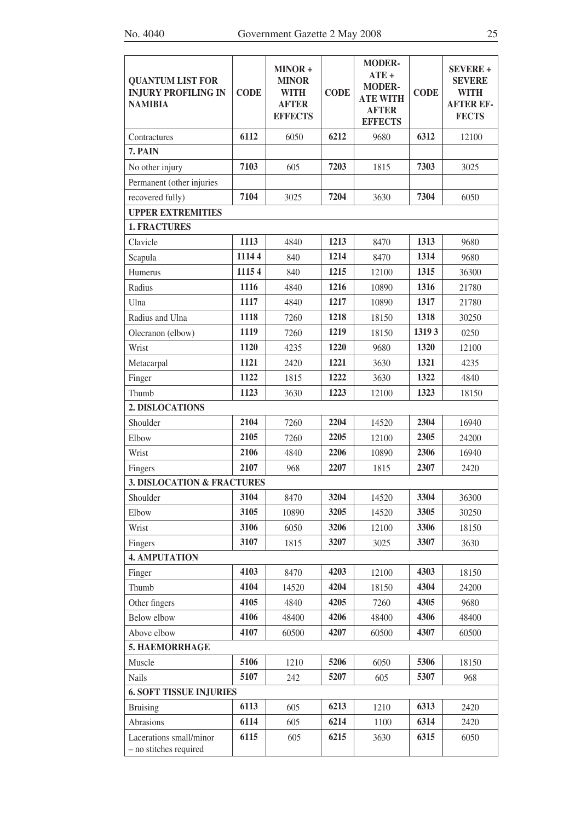| <b>QUANTUM LIST FOR</b><br><b>INJURY PROFILING IN</b><br><b>NAMIBIA</b> | <b>CODE</b> | MINOR+<br><b>MINOR</b><br><b>WITH</b><br><b>AFTER</b><br><b>EFFECTS</b> | <b>CODE</b> | <b>MODER-</b><br>$ATE +$<br><b>MODER-</b><br><b>ATE WITH</b><br><b>AFTER</b><br><b>EFFECTS</b> | <b>CODE</b> | <b>SEVERE +</b><br><b>SEVERE</b><br><b>WITH</b><br><b>AFTER EF-</b><br><b>FECTS</b> |
|-------------------------------------------------------------------------|-------------|-------------------------------------------------------------------------|-------------|------------------------------------------------------------------------------------------------|-------------|-------------------------------------------------------------------------------------|
| Contractures                                                            | 6112        | 6050                                                                    | 6212        | 9680                                                                                           | 6312        | 12100                                                                               |
| 7. PAIN                                                                 |             |                                                                         |             |                                                                                                |             |                                                                                     |
| No other injury                                                         | 7103        | 605                                                                     | 7203        | 1815                                                                                           | 7303        | 3025                                                                                |
| Permanent (other injuries                                               |             |                                                                         |             |                                                                                                |             |                                                                                     |
| recovered fully)                                                        | 7104        | 3025                                                                    | 7204        | 3630                                                                                           | 7304        | 6050                                                                                |
| <b>UPPER EXTREMITIES</b>                                                |             |                                                                         |             |                                                                                                |             |                                                                                     |
| <b>1. FRACTURES</b>                                                     |             |                                                                         |             |                                                                                                |             |                                                                                     |
| Clavicle                                                                | 1113        | 4840                                                                    | 1213        | 8470                                                                                           | 1313        | 9680                                                                                |
| Scapula                                                                 | 11144       | 840                                                                     | 1214        | 8470                                                                                           | 1314        | 9680                                                                                |
| Humerus                                                                 | 11154       | 840                                                                     | 1215        | 12100                                                                                          | 1315        | 36300                                                                               |
| Radius                                                                  | 1116        | 4840                                                                    | 1216        | 10890                                                                                          | 1316        | 21780                                                                               |
| Ulna                                                                    | 1117        | 4840                                                                    | 1217        | 10890                                                                                          | 1317        | 21780                                                                               |
| Radius and Ulna                                                         | 1118        | 7260                                                                    | 1218        | 18150                                                                                          | 1318        | 30250                                                                               |
| Olecranon (elbow)                                                       | 1119        | 7260                                                                    | 1219        | 18150                                                                                          | 1319 3      | 0250                                                                                |
| Wrist                                                                   | 1120        | 4235                                                                    | 1220        | 9680                                                                                           | 1320        | 12100                                                                               |
| Metacarpal                                                              | 1121        | 2420                                                                    | 1221        | 3630                                                                                           | 1321        | 4235                                                                                |
| Finger                                                                  | 1122        | 1815                                                                    | 1222        | 3630                                                                                           | 1322        | 4840                                                                                |
| Thumb                                                                   | 1123        | 3630                                                                    | 1223        | 12100                                                                                          | 1323        | 18150                                                                               |
| 2. DISLOCATIONS                                                         |             |                                                                         |             |                                                                                                |             |                                                                                     |
| Shoulder                                                                | 2104        | 7260                                                                    | 2204        | 14520                                                                                          | 2304        | 16940                                                                               |
| Elbow                                                                   | 2105        | 7260                                                                    | 2205        | 12100                                                                                          | 2305        | 24200                                                                               |
| Wrist                                                                   | 2106        | 4840                                                                    | 2206        | 10890                                                                                          | 2306        | 16940                                                                               |
| Fingers                                                                 | 2107        | 968                                                                     | 2207        | 1815                                                                                           | 2307        | 2420                                                                                |
| <b>3. DISLOCATION &amp; FRACTURES</b>                                   |             |                                                                         |             |                                                                                                |             |                                                                                     |
| Shoulder                                                                | 3104        | 8470                                                                    | 3204        | 14520                                                                                          | 3304        | 36300                                                                               |
| Elbow                                                                   | 3105        | 10890                                                                   | 3205        | 14520                                                                                          | 3305        | 30250                                                                               |
| Wrist                                                                   | 3106        | 6050                                                                    | 3206        | 12100                                                                                          | 3306        | 18150                                                                               |
| Fingers                                                                 | 3107        | 1815                                                                    | 3207        | 3025                                                                                           | 3307        | 3630                                                                                |
| <b>4. AMPUTATION</b>                                                    |             |                                                                         |             |                                                                                                |             |                                                                                     |
| Finger                                                                  | 4103        | 8470                                                                    | 4203        | 12100                                                                                          | 4303        | 18150                                                                               |
| Thumb                                                                   | 4104        | 14520                                                                   | 4204        | 18150                                                                                          | 4304        | 24200                                                                               |
| Other fingers                                                           | 4105        | 4840                                                                    | 4205        | 7260                                                                                           | 4305        | 9680                                                                                |
| Below elbow                                                             | 4106        | 48400                                                                   | 4206        | 48400                                                                                          | 4306        | 48400                                                                               |
| Above elbow                                                             | 4107        | 60500                                                                   | 4207        | 60500                                                                                          | 4307        | 60500                                                                               |
| 5. HAEMORRHAGE                                                          |             |                                                                         |             |                                                                                                |             |                                                                                     |
| Muscle                                                                  | 5106        | 1210                                                                    | 5206        | 6050                                                                                           | 5306        | 18150                                                                               |
| <b>Nails</b>                                                            | 5107        | 242                                                                     | 5207        | 605                                                                                            | 5307        | 968                                                                                 |
| <b>6. SOFT TISSUE INJURIES</b>                                          |             |                                                                         |             |                                                                                                |             |                                                                                     |
| <b>Bruising</b>                                                         | 6113        | 605                                                                     | 6213        | 1210                                                                                           | 6313        | 2420                                                                                |
| Abrasions                                                               | 6114        | 605                                                                     | 6214        | 1100                                                                                           | 6314        | 2420                                                                                |
| Lacerations small/minor<br>- no stitches required                       | 6115        | 605                                                                     | 6215        | 3630                                                                                           | 6315        | 6050                                                                                |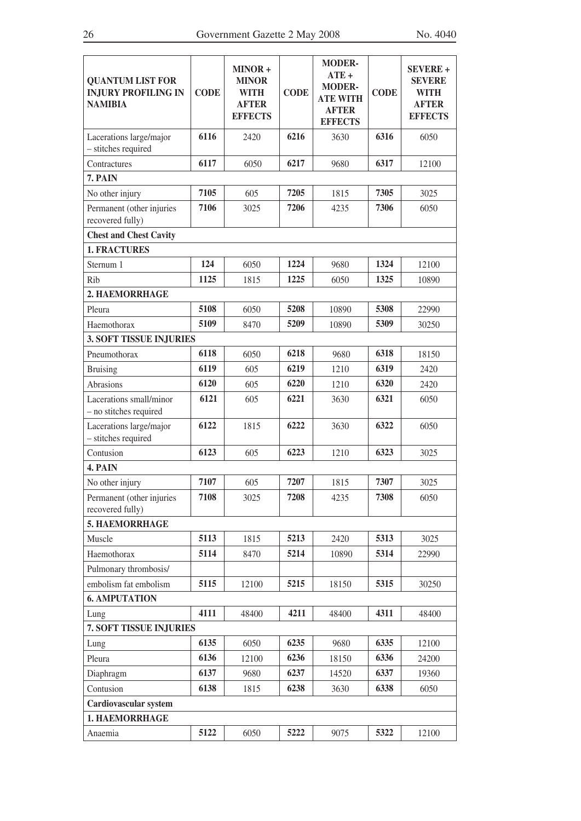| <b>QUANTUM LIST FOR</b><br><b>INJURY PROFILING IN</b><br><b>NAMIBIA</b> | <b>CODE</b> | MINOR+<br><b>MINOR</b><br><b>WITH</b><br><b>AFTER</b><br><b>EFFECTS</b> | <b>CODE</b> | <b>MODER-</b><br>$ATE+$<br><b>MODER-</b><br><b>ATE WITH</b><br><b>AFTER</b><br><b>EFFECTS</b> | <b>CODE</b> | <b>SEVERE +</b><br><b>SEVERE</b><br>WITH<br><b>AFTER</b><br><b>EFFECTS</b> |
|-------------------------------------------------------------------------|-------------|-------------------------------------------------------------------------|-------------|-----------------------------------------------------------------------------------------------|-------------|----------------------------------------------------------------------------|
| Lacerations large/major<br>- stitches required                          | 6116        | 2420                                                                    | 6216        | 3630                                                                                          | 6316        | 6050                                                                       |
| Contractures                                                            | 6117        | 6050                                                                    | 6217        | 9680                                                                                          | 6317        | 12100                                                                      |
| 7. PAIN                                                                 |             |                                                                         |             |                                                                                               |             |                                                                            |
| No other injury                                                         | 7105        | 605                                                                     | 7205        | 1815                                                                                          | 7305        | 3025                                                                       |
| Permanent (other injuries<br>recovered fully)                           | 7106        | 3025                                                                    | 7206        | 4235                                                                                          | 7306        | 6050                                                                       |
| <b>Chest and Chest Cavity</b>                                           |             |                                                                         |             |                                                                                               |             |                                                                            |
| <b>1. FRACTURES</b>                                                     |             |                                                                         |             |                                                                                               |             |                                                                            |
| Sternum 1                                                               | 124         | 6050                                                                    | 1224        | 9680                                                                                          | 1324        | 12100                                                                      |
| Rib                                                                     | 1125        | 1815                                                                    | 1225        | 6050                                                                                          | 1325        | 10890                                                                      |
| 2. HAEMORRHAGE                                                          |             |                                                                         |             |                                                                                               |             |                                                                            |
| Pleura                                                                  | 5108        | 6050                                                                    | 5208        | 10890                                                                                         | 5308        | 22990                                                                      |
| Haemothorax                                                             | 5109        | 8470                                                                    | 5209        | 10890                                                                                         | 5309        | 30250                                                                      |
| <b>3. SOFT TISSUE INJURIES</b>                                          |             |                                                                         |             |                                                                                               |             |                                                                            |
| Pneumothorax                                                            | 6118        | 6050                                                                    | 6218        | 9680                                                                                          | 6318        | 18150                                                                      |
| <b>Bruising</b>                                                         | 6119        | 605                                                                     | 6219        | 1210                                                                                          | 6319        | 2420                                                                       |
| <b>Abrasions</b>                                                        | 6120        | 605                                                                     | 6220        | 1210                                                                                          | 6320        | 2420                                                                       |
| Lacerations small/minor<br>- no stitches required                       | 6121        | 605                                                                     | 6221        | 3630                                                                                          | 6321        | 6050                                                                       |
| Lacerations large/major<br>- stitches required                          | 6122        | 1815                                                                    | 6222        | 3630                                                                                          | 6322        | 6050                                                                       |
| Contusion                                                               | 6123        | 605                                                                     | 6223        | 1210                                                                                          | 6323        | 3025                                                                       |
| 4. PAIN                                                                 |             |                                                                         |             |                                                                                               |             |                                                                            |
| No other injury                                                         | 7107        | 605                                                                     | 7207        | 1815                                                                                          | 7307        | 3025                                                                       |
| Permanent (other injuries<br>recovered fully)                           | 7108        | 3025                                                                    | 7208        | 4235                                                                                          | 7308        | 6050                                                                       |
| 5. HAEMORRHAGE                                                          |             |                                                                         |             |                                                                                               |             |                                                                            |
| Muscle                                                                  | 5113        | 1815                                                                    | 5213        | 2420                                                                                          | 5313        | 3025                                                                       |
| Haemothorax                                                             | 5114        | 8470                                                                    | 5214        | 10890                                                                                         | 5314        | 22990                                                                      |
| Pulmonary thrombosis/                                                   |             |                                                                         |             |                                                                                               |             |                                                                            |
| embolism fat embolism                                                   | 5115        | 12100                                                                   | 5215        | 18150                                                                                         | 5315        | 30250                                                                      |
| <b>6. AMPUTATION</b>                                                    |             |                                                                         |             |                                                                                               |             |                                                                            |
| Lung                                                                    | 4111        | 48400                                                                   | 4211        | 48400                                                                                         | 4311        | 48400                                                                      |
| 7. SOFT TISSUE INJURIES                                                 |             |                                                                         |             |                                                                                               |             |                                                                            |
| Lung                                                                    | 6135        | 6050                                                                    | 6235        | 9680                                                                                          | 6335        | 12100                                                                      |
| Pleura                                                                  | 6136        | 12100                                                                   | 6236        | 18150                                                                                         | 6336        | 24200                                                                      |
| Diaphragm                                                               | 6137        | 9680                                                                    | 6237        | 14520                                                                                         | 6337        | 19360                                                                      |
| Contusion                                                               | 6138        | 1815                                                                    | 6238        | 3630                                                                                          | 6338        | 6050                                                                       |
| Cardiovascular system                                                   |             |                                                                         |             |                                                                                               |             |                                                                            |
| 1. HAEMORRHAGE                                                          |             |                                                                         |             |                                                                                               |             |                                                                            |
| Anaemia                                                                 | 5122        | 6050                                                                    | 5222        | 9075                                                                                          | 5322        | 12100                                                                      |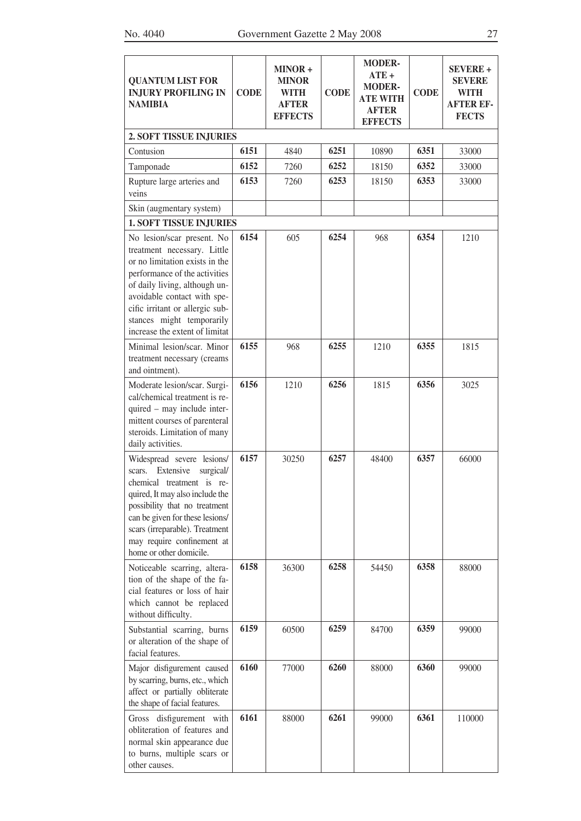| <b>QUANTUM LIST FOR</b><br><b>INJURY PROFILING IN</b><br><b>NAMIBIA</b>                                                                                                                                                                                                                        | <b>CODE</b> | MINOR +<br><b>MINOR</b><br><b>WITH</b><br><b>AFTER</b><br><b>EFFECTS</b> | <b>CODE</b> | <b>MODER-</b><br>$ATE +$<br><b>MODER-</b><br><b>ATE WITH</b><br><b>AFTER</b><br><b>EFFECTS</b> | <b>CODE</b> | <b>SEVERE +</b><br><b>SEVERE</b><br><b>WITH</b><br><b>AFTER EF-</b><br><b>FECTS</b> |
|------------------------------------------------------------------------------------------------------------------------------------------------------------------------------------------------------------------------------------------------------------------------------------------------|-------------|--------------------------------------------------------------------------|-------------|------------------------------------------------------------------------------------------------|-------------|-------------------------------------------------------------------------------------|
| <b>2. SOFT TISSUE INJURIES</b>                                                                                                                                                                                                                                                                 |             |                                                                          |             |                                                                                                |             |                                                                                     |
| Contusion                                                                                                                                                                                                                                                                                      | 6151        | 4840                                                                     | 6251        | 10890                                                                                          | 6351        | 33000                                                                               |
| Tamponade                                                                                                                                                                                                                                                                                      | 6152        | 7260                                                                     | 6252        | 18150                                                                                          | 6352        | 33000                                                                               |
| Rupture large arteries and<br>veins                                                                                                                                                                                                                                                            | 6153        | 7260                                                                     | 6253        | 18150                                                                                          | 6353        | 33000                                                                               |
| Skin (augmentary system)                                                                                                                                                                                                                                                                       |             |                                                                          |             |                                                                                                |             |                                                                                     |
| <b>1. SOFT TISSUE INJURIES</b>                                                                                                                                                                                                                                                                 |             |                                                                          |             |                                                                                                |             |                                                                                     |
| No lesion/scar present. No<br>treatment necessary. Little<br>or no limitation exists in the<br>performance of the activities<br>of daily living, although un-<br>avoidable contact with spe-<br>cific irritant or allergic sub-<br>stances might temporarily<br>increase the extent of limitat | 6154        | 605                                                                      | 6254        | 968                                                                                            | 6354        | 1210                                                                                |
| Minimal lesion/scar. Minor<br>treatment necessary (creams<br>and ointment).                                                                                                                                                                                                                    | 6155        | 968                                                                      | 6255        | 1210                                                                                           | 6355        | 1815                                                                                |
| Moderate lesion/scar. Surgi-<br>cal/chemical treatment is re-<br>quired – may include inter-<br>mittent courses of parenteral<br>steroids. Limitation of many<br>daily activities.                                                                                                             | 6156        | 1210                                                                     | 6256        | 1815                                                                                           | 6356        | 3025                                                                                |
| Widespread severe lesions/<br>scars. Extensive<br>surgical/<br>chemical treatment is re-<br>quired, It may also include the<br>possibility that no treatment<br>can be given for these lesions/<br>scars (irreparable). Treatment<br>may require confinement at<br>home or other domicile.     | 6157        | 30250                                                                    | 6257        | 48400                                                                                          | 6357        | 66000                                                                               |
| Noticeable scarring, altera-<br>tion of the shape of the fa-<br>cial features or loss of hair<br>which cannot be replaced<br>without difficulty.                                                                                                                                               | 6158        | 36300                                                                    | 6258        | 54450                                                                                          | 6358        | 88000                                                                               |
| Substantial scarring, burns<br>or alteration of the shape of<br>facial features.                                                                                                                                                                                                               | 6159        | 60500                                                                    | 6259        | 84700                                                                                          | 6359        | 99000                                                                               |
| Major disfigurement caused<br>by scarring, burns, etc., which<br>affect or partially obliterate<br>the shape of facial features.                                                                                                                                                               | 6160        | 77000                                                                    | 6260        | 88000                                                                                          | 6360        | 99000                                                                               |
| disfigurement with<br>Gross<br>obliteration of features and<br>normal skin appearance due<br>to burns, multiple scars or<br>other causes.                                                                                                                                                      | 6161        | 88000                                                                    | 6261        | 99000                                                                                          | 6361        | 110000                                                                              |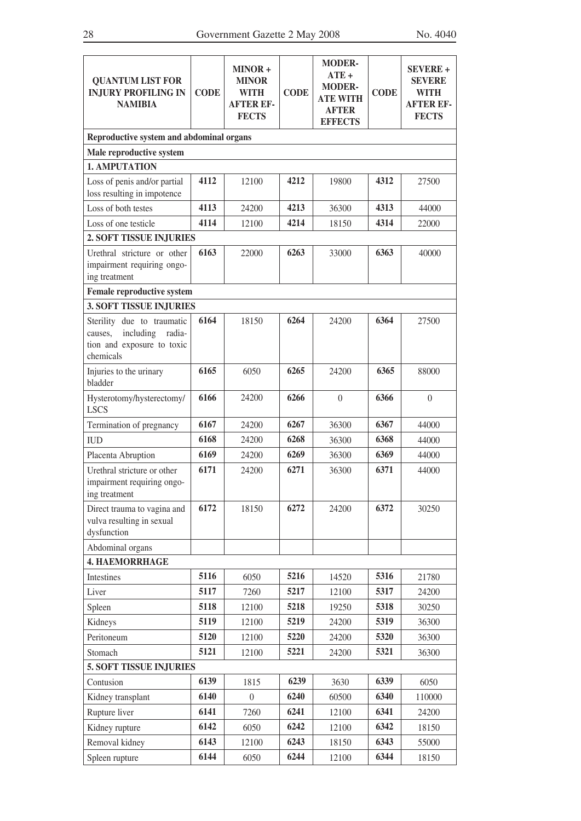| <b>QUANTUM LIST FOR</b><br><b>INJURY PROFILING IN</b><br><b>NAMIBIA</b>                                 | <b>CODE</b>  | MINOR+<br><b>MINOR</b><br><b>WITH</b><br><b>AFTER EF-</b><br><b>FECTS</b> | <b>CODE</b>  | <b>MODER-</b><br>$ATE+$<br><b>MODER-</b><br><b>ATE WITH</b><br><b>AFTER</b><br><b>EFFECTS</b> | <b>CODE</b>  | <b>SEVERE +</b><br><b>SEVERE</b><br><b>WITH</b><br><b>AFTER EF-</b><br><b>FECTS</b> |
|---------------------------------------------------------------------------------------------------------|--------------|---------------------------------------------------------------------------|--------------|-----------------------------------------------------------------------------------------------|--------------|-------------------------------------------------------------------------------------|
| Reproductive system and abdominal organs                                                                |              |                                                                           |              |                                                                                               |              |                                                                                     |
| Male reproductive system                                                                                |              |                                                                           |              |                                                                                               |              |                                                                                     |
| 1. AMPUTATION                                                                                           |              |                                                                           |              |                                                                                               |              |                                                                                     |
| Loss of penis and/or partial<br>loss resulting in impotence                                             | 4112         | 12100                                                                     | 4212         | 19800                                                                                         | 4312         | 27500                                                                               |
| Loss of both testes                                                                                     | 4113         | 24200                                                                     | 4213         | 36300                                                                                         | 4313         | 44000                                                                               |
| Loss of one testicle                                                                                    | 4114         | 12100                                                                     | 4214         | 18150                                                                                         | 4314         | 22000                                                                               |
| 2. SOFT TISSUE INJURIES                                                                                 |              |                                                                           |              |                                                                                               |              |                                                                                     |
| Urethral stricture or other<br>impairment requiring ongo-<br>ing treatment                              | 6163         | 22000                                                                     | 6263         | 33000                                                                                         | 6363         | 40000                                                                               |
| <b>Female reproductive system</b>                                                                       |              |                                                                           |              |                                                                                               |              |                                                                                     |
| <b>3. SOFT TISSUE INJURIES</b>                                                                          |              |                                                                           |              |                                                                                               |              |                                                                                     |
| Sterility due to traumatic<br>including<br>radia-<br>causes,<br>tion and exposure to toxic<br>chemicals | 6164         | 18150                                                                     | 6264         | 24200                                                                                         | 6364         | 27500                                                                               |
| Injuries to the urinary<br>bladder                                                                      | 6165         | 6050                                                                      | 6265         | 24200                                                                                         | 6365         | 88000                                                                               |
| Hysterotomy/hysterectomy/<br><b>LSCS</b>                                                                | 6166         | 24200                                                                     | 6266         | $\theta$                                                                                      | 6366         | $\theta$                                                                            |
| Termination of pregnancy                                                                                | 6167         | 24200                                                                     | 6267         | 36300                                                                                         | 6367         | 44000                                                                               |
| <b>IUD</b>                                                                                              | 6168         | 24200                                                                     | 6268         | 36300                                                                                         | 6368         | 44000                                                                               |
| Placenta Abruption                                                                                      | 6169         | 24200                                                                     | 6269         | 36300                                                                                         | 6369         | 44000                                                                               |
| Urethral stricture or other<br>impairment requiring ongo-<br>ing treatment                              | 6171         | 24200                                                                     | 6271         | 36300                                                                                         | 6371         | 44000                                                                               |
| Direct trauma to vagina and<br>vulva resulting in sexual<br>dysfunction                                 | 6172         | 18150                                                                     | 6272         | 24200                                                                                         | 6372         | 30250                                                                               |
| Abdominal organs                                                                                        |              |                                                                           |              |                                                                                               |              |                                                                                     |
| <b>4. HAEMORRHAGE</b>                                                                                   |              |                                                                           |              |                                                                                               |              |                                                                                     |
| Intestines                                                                                              | 5116         | 6050                                                                      | 5216         | 14520                                                                                         | 5316         | 21780                                                                               |
| Liver                                                                                                   | 5117         | 7260                                                                      | 5217         | 12100                                                                                         | 5317         | 24200                                                                               |
| Spleen                                                                                                  | 5118         | 12100                                                                     | 5218         | 19250                                                                                         | 5318         | 30250                                                                               |
| Kidneys                                                                                                 | 5119         | 12100                                                                     | 5219         | 24200                                                                                         | 5319         | 36300                                                                               |
| Peritoneum                                                                                              | 5120         | 12100                                                                     | 5220         | 24200                                                                                         | 5320         | 36300                                                                               |
| Stomach                                                                                                 | 5121         | 12100                                                                     | 5221         | 24200                                                                                         | 5321         | 36300                                                                               |
| <b>5. SOFT TISSUE INJURIES</b>                                                                          |              |                                                                           |              |                                                                                               |              |                                                                                     |
| Contusion                                                                                               | 6139         | 1815                                                                      | 6239         | 3630                                                                                          | 6339         | 6050                                                                                |
| Kidney transplant                                                                                       | 6140         | $\overline{0}$                                                            | 6240         | 60500                                                                                         | 6340         | 110000                                                                              |
| Rupture liver                                                                                           | 6141<br>6142 | 7260                                                                      | 6241<br>6242 | 12100                                                                                         | 6341<br>6342 | 24200                                                                               |
| Kidney rupture                                                                                          | 6143         | 6050                                                                      | 6243         | 12100                                                                                         | 6343         | 18150                                                                               |
| Removal kidney                                                                                          | 6144         | 12100                                                                     | 6244         | 18150                                                                                         | 6344         | 55000                                                                               |
| Spleen rupture                                                                                          |              | 6050                                                                      |              | 12100                                                                                         |              | 18150                                                                               |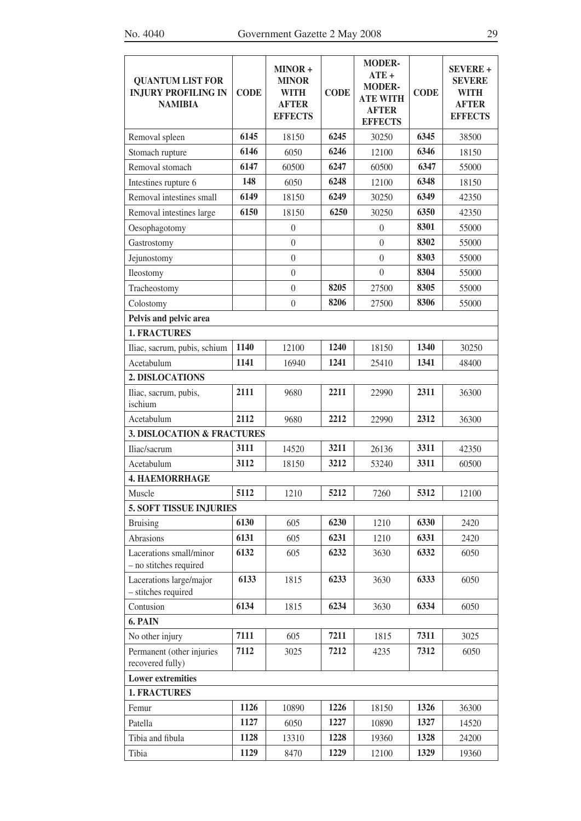| <b>QUANTUM LIST FOR</b><br><b>INJURY PROFILING IN</b><br><b>NAMIBIA</b> | <b>CODE</b> | MINOR+<br><b>MINOR</b><br><b>WITH</b><br><b>AFTER</b><br><b>EFFECTS</b> | <b>CODE</b> | <b>MODER-</b><br>$ATE +$<br><b>MODER-</b><br><b>ATE WITH</b><br><b>AFTER</b><br><b>EFFECTS</b> | <b>CODE</b> | <b>SEVERE +</b><br><b>SEVERE</b><br><b>WITH</b><br><b>AFTER</b><br><b>EFFECTS</b> |  |  |  |  |
|-------------------------------------------------------------------------|-------------|-------------------------------------------------------------------------|-------------|------------------------------------------------------------------------------------------------|-------------|-----------------------------------------------------------------------------------|--|--|--|--|
| Removal spleen                                                          | 6145        | 18150                                                                   | 6245        | 30250                                                                                          | 6345        | 38500                                                                             |  |  |  |  |
| Stomach rupture                                                         | 6146        | 6050                                                                    | 6246        | 12100                                                                                          | 6346        | 18150                                                                             |  |  |  |  |
| Removal stomach                                                         | 6147        | 60500                                                                   | 6247        | 60500                                                                                          | 6347        | 55000                                                                             |  |  |  |  |
| Intestines rupture 6                                                    | 148         | 6050                                                                    | 6248        | 12100                                                                                          | 6348        | 18150                                                                             |  |  |  |  |
| Removal intestines small                                                | 6149        | 18150                                                                   | 6249        | 30250                                                                                          | 6349        | 42350                                                                             |  |  |  |  |
| Removal intestines large                                                | 6150        | 18150                                                                   | 6250        | 30250                                                                                          | 6350        | 42350                                                                             |  |  |  |  |
| Oesophagotomy                                                           |             | $\boldsymbol{0}$                                                        |             | $\boldsymbol{0}$                                                                               | 8301        | 55000                                                                             |  |  |  |  |
| Gastrostomy                                                             |             | $\overline{0}$                                                          |             | $\overline{0}$                                                                                 | 8302        | 55000                                                                             |  |  |  |  |
| Jejunostomy                                                             |             | $\boldsymbol{0}$                                                        |             | $\theta$                                                                                       | 8303        | 55000                                                                             |  |  |  |  |
| Ileostomy                                                               |             | $\theta$                                                                |             | $\theta$                                                                                       | 8304        | 55000                                                                             |  |  |  |  |
| Tracheostomy                                                            |             | $\boldsymbol{0}$                                                        | 8205        | 27500                                                                                          | 8305        | 55000                                                                             |  |  |  |  |
| Colostomy                                                               |             | $\boldsymbol{0}$                                                        | 8206        | 27500                                                                                          | 8306        | 55000                                                                             |  |  |  |  |
| Pelvis and pelvic area                                                  |             |                                                                         |             |                                                                                                |             |                                                                                   |  |  |  |  |
| <b>1. FRACTURES</b>                                                     |             |                                                                         |             |                                                                                                |             |                                                                                   |  |  |  |  |
| Iliac, sacrum, pubis, schium                                            | 1140        | 12100                                                                   | 1240        | 18150                                                                                          | 1340        | 30250                                                                             |  |  |  |  |
| Acetabulum                                                              | 1141        | 16940                                                                   | 1241        | 25410                                                                                          | 1341        | 48400                                                                             |  |  |  |  |
| 2. DISLOCATIONS                                                         |             |                                                                         |             |                                                                                                |             |                                                                                   |  |  |  |  |
| Iliac, sacrum, pubis,<br>ischium                                        | 2111        | 9680                                                                    | 2211        | 22990                                                                                          | 2311        | 36300                                                                             |  |  |  |  |
| Acetabulum                                                              | 2112        | 9680                                                                    | 2212        | 22990                                                                                          | 2312        | 36300                                                                             |  |  |  |  |
| <b>3. DISLOCATION &amp; FRACTURES</b>                                   |             |                                                                         |             |                                                                                                |             |                                                                                   |  |  |  |  |
| Iliac/sacrum                                                            | 3111        | 14520                                                                   | 3211        | 26136                                                                                          | 3311        | 42350                                                                             |  |  |  |  |
| Acetabulum                                                              | 3112        | 18150                                                                   | 3212        | 53240                                                                                          | 3311        | 60500                                                                             |  |  |  |  |
| <b>4. HAEMORRHAGE</b>                                                   |             |                                                                         |             |                                                                                                |             |                                                                                   |  |  |  |  |
| Muscle                                                                  | 5112        | 1210                                                                    | 5212        | 7260                                                                                           | 5312        | 12100                                                                             |  |  |  |  |
| <b>5. SOFT TISSUE INJURIES</b>                                          |             |                                                                         |             |                                                                                                |             |                                                                                   |  |  |  |  |
| <b>Bruising</b>                                                         | 6130        | 605                                                                     | 6230        | 1210                                                                                           | 6330        | 2420                                                                              |  |  |  |  |
| Abrasions                                                               | 6131        | 605                                                                     | 6231        | 1210                                                                                           | 6331        | 2420                                                                              |  |  |  |  |
| Lacerations small/minor<br>- no stitches required                       | 6132        | 605                                                                     | 6232        | 3630                                                                                           | 6332        | 6050                                                                              |  |  |  |  |
| Lacerations large/major<br>- stitches required                          | 6133        | 1815                                                                    | 6233        | 3630                                                                                           | 6333        | 6050                                                                              |  |  |  |  |
| Contusion                                                               | 6134        | 1815                                                                    | 6234        | 3630                                                                                           | 6334        | 6050                                                                              |  |  |  |  |
| 6. PAIN                                                                 |             |                                                                         |             |                                                                                                |             |                                                                                   |  |  |  |  |
| No other injury                                                         | 7111        | 605                                                                     | 7211        | 1815                                                                                           | 7311        | 3025                                                                              |  |  |  |  |
| Permanent (other injuries<br>recovered fully)                           | 7112        | 3025                                                                    | 7212        | 4235                                                                                           | 7312        | 6050                                                                              |  |  |  |  |
| <b>Lower extremities</b>                                                |             |                                                                         |             |                                                                                                |             |                                                                                   |  |  |  |  |
| <b>1. FRACTURES</b>                                                     |             |                                                                         |             |                                                                                                |             |                                                                                   |  |  |  |  |
| Femur                                                                   | 1126        | 10890                                                                   | 1226        | 18150                                                                                          | 1326        | 36300                                                                             |  |  |  |  |
| Patella                                                                 | 1127        | 6050                                                                    | 1227        | 10890                                                                                          | 1327        | 14520                                                                             |  |  |  |  |
| Tibia and fibula                                                        | 1128        | 13310                                                                   | 1228        | 19360                                                                                          | 1328        | 24200                                                                             |  |  |  |  |
| Tibia                                                                   | 1129        | 8470                                                                    | 1229        | 12100                                                                                          | 1329        | 19360                                                                             |  |  |  |  |